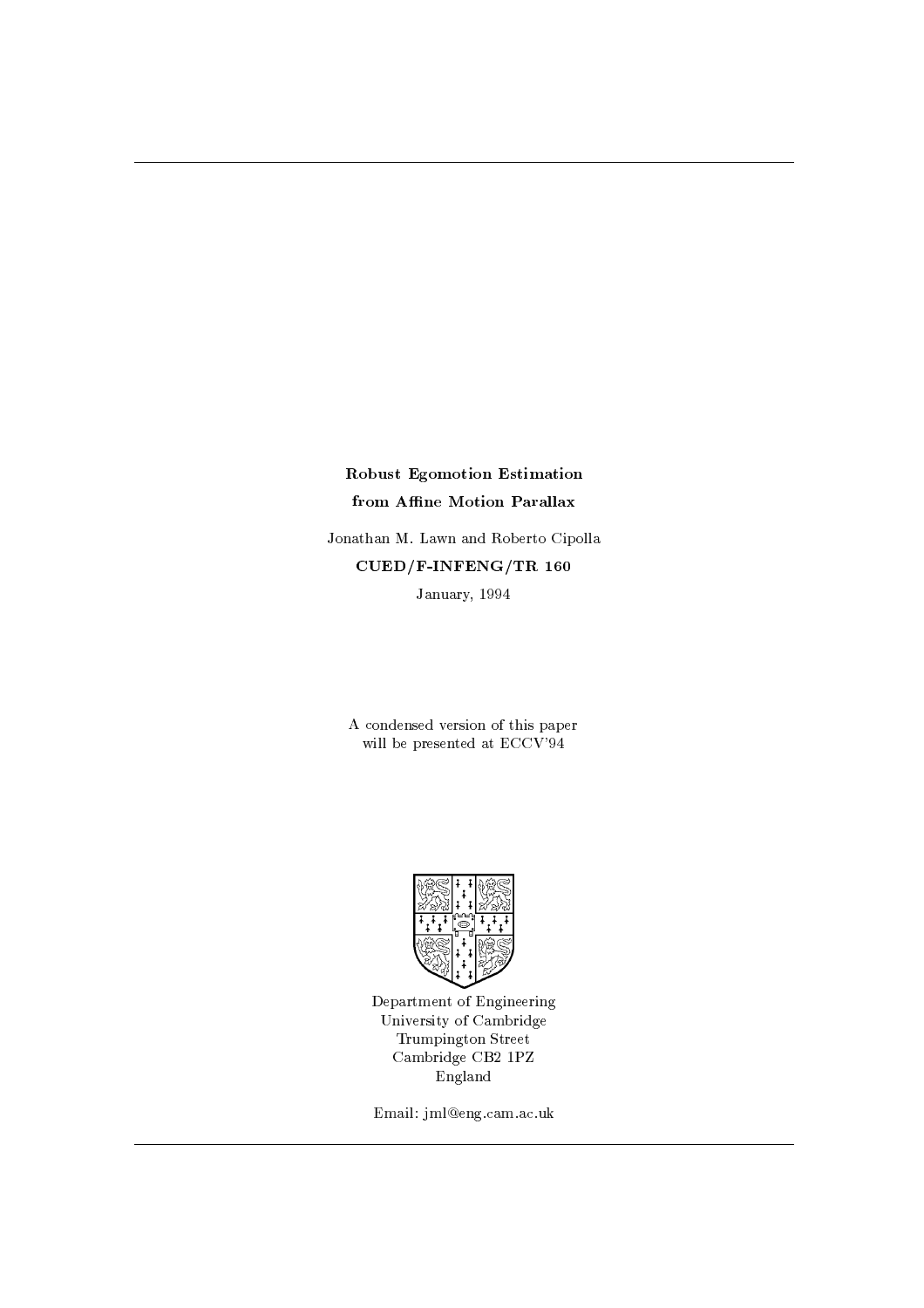# Robust Egomotion Estimation from Affine Motion Parallax

Jonathan M. Lawn and Roberto Cipolla CUED/F-INFENG/TR 160 January, 1994

A condensed version of this paper will be presented at ECCV'94



Department of Engineering University of Cambridge Trumpington Street Cambridge CB2 1PZ England

Email: jml@eng.cam.ac.uk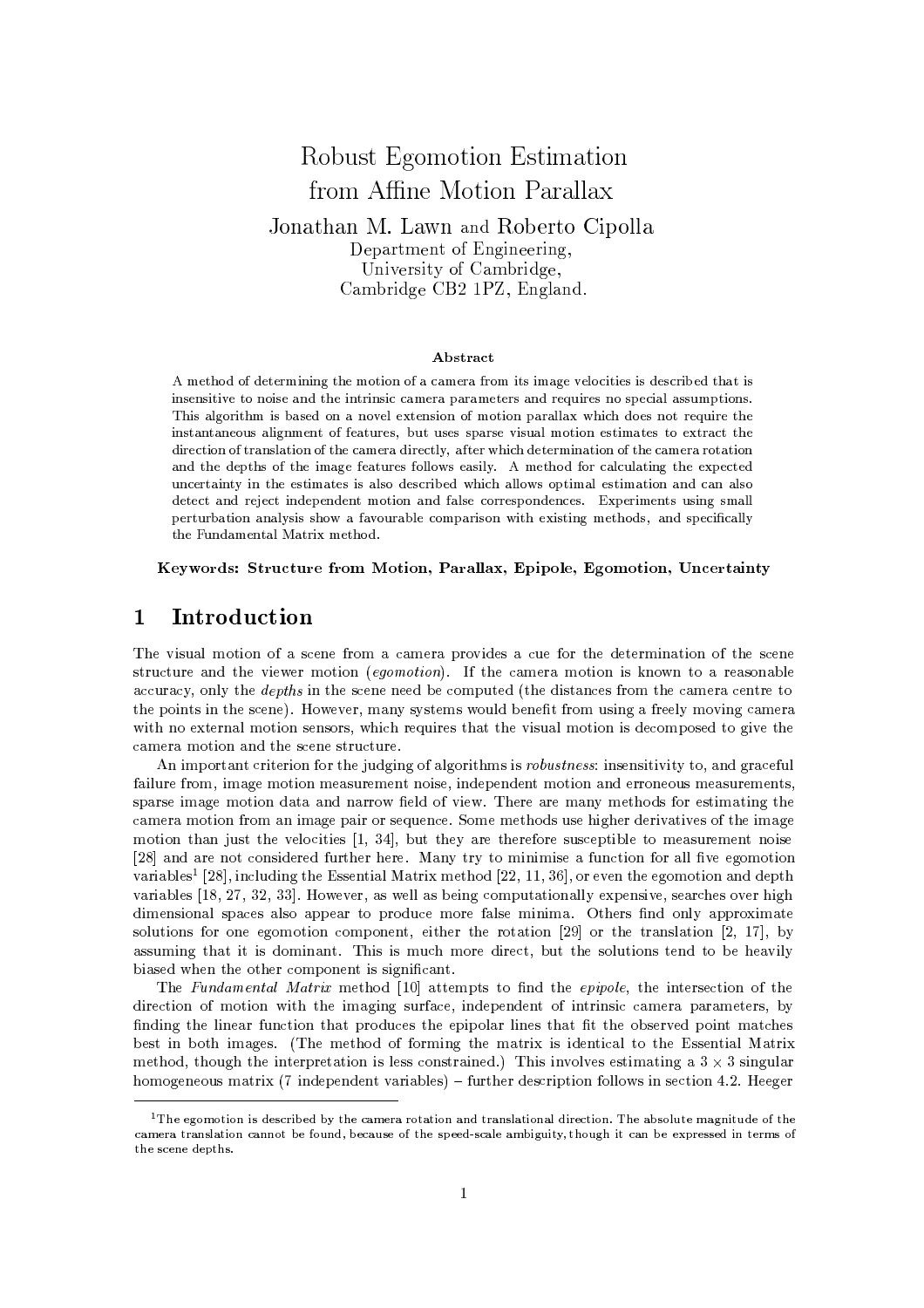# Robust Egomotion Estimation from Affine Motion Parallax Jonathan M. Lawn and Roberto Cipolla Department of Engineering, University of Cambridge. Cambridge CB2 1PZ, England.

### Abstract

A method of determining the motion of a camera from its image velocities is described that is insensitive to noise and the intrinsic camera parameters and requires no special assumptions. This algorithm is based on a novel extension of motion parallax which does not require the instantaneous alignment of features, but uses sparse visual motion estimates to extract the direction of translation of the camera directly, after which determination of the camera rotation and the depths of the image features follows easily. A method for calculating the expected uncertainty in the estimates is also described which allows optimal estimation and can also detect and reject independent motion and false correspondences. Experiments using small perturbation analysis show a favourable comparison with existing methods, and specifically the Fundamental Matrix method.

## Keywords: Structure from Motion, Parallax, Epipole, Egomotion, Uncertainty

#### Introduction 1

The visual motion of a scene from a camera provides a cue for the determination of the scene structure and the viewer motion (egomotion). If the camera motion is known to a reasonable accuracy, only the *depths* in the scene need be computed (the distances from the camera centre to the points in the scene). However, many systems would benefit from using a freely moving camera with no external motion sensors, which requires that the visual motion is decomposed to give the camera motion and the scene structure.

An important criterion for the judging of algorithms is robustness: insensitivity to, and graceful failure from, image motion measurement noise, independent motion and erroneous measurements, sparse image motion data and narrow field of view. There are many methods for estimating the camera motion from an image pair or sequence. Some methods use higher derivatives of the image motion than just the velocities [1, 34], but they are therefore susceptible to measurement noise [28] and are not considered further here. Many try to minimise a function for all five egomotion variables<sup>1</sup> [28], including the Essential Matrix method [22, 11, 36], or even the egomotion and depth variables [18, 27, 32, 33]. However, as well as being computationally expensive, searches over high dimensional spaces also appear to produce more false minima. Others find only approximate solutions for one egomotion component, either the rotation [29] or the translation [2, 17], by assuming that it is dominant. This is much more direct, but the solutions tend to be heavily biased when the other component is significant.

The Fundamental Matrix method [10] attempts to find the epipole, the intersection of the direction of motion with the imaging surface, independent of intrinsic camera parameters, by finding the linear function that produces the epipolar lines that fit the observed point matches best in both images. (The method of forming the matrix is identical to the Essential Matrix method, though the interpretation is less constrained.) This involves estimating a  $3 \times 3$  singular homogeneous matrix (7 independent variables) – further description follows in section 4.2. Heeger

 $1$ The egomotion is described by the camera rotation and translational direction. The absolute magnitude of the camera translation cannot be found, because of the speed-scale ambiguity, though it can be expressed in terms of the scene depths.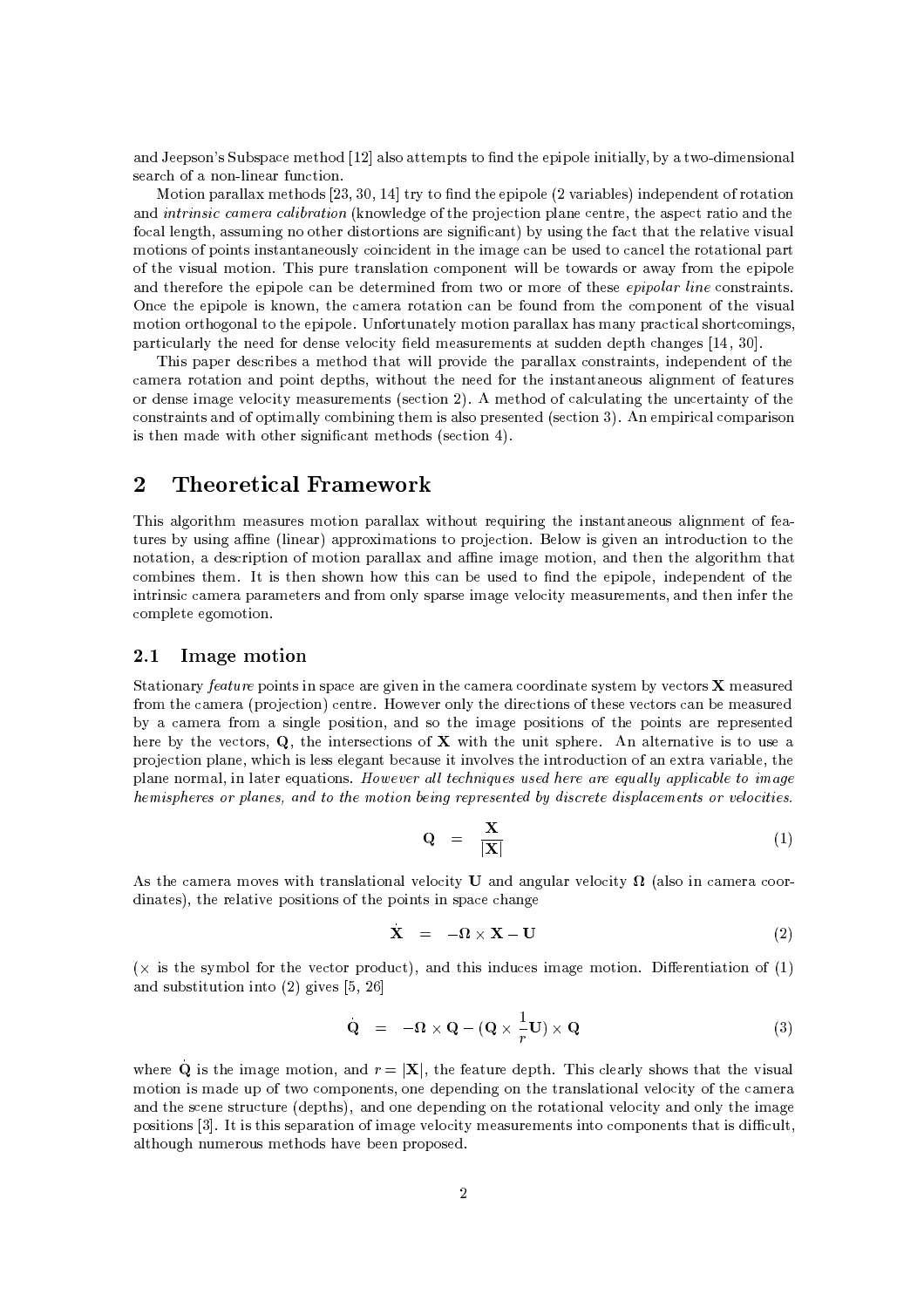and Jeepson's Subspace method [12] also attempts to find the epipole initially, by a two-dimensional search of a non-linear function.

Motion parallax methods [23, 30, 14] try to find the epipole (2 variables) independent of rotation and *intrinsic camera calibration* (knowledge of the projection plane centre, the aspect ratio and the focal length, assuming no other distortions are significant) by using the fact that the relative visual motions of points instantaneously coincident in the image can be used to cancel the rotational part of the visual motion. This pure translation component will be towards or away from the epipole and therefore the epipole can be determined from two or more of these *epipolar line* constraints. Once the epipole is known, the camera rotation can be found from the component of the visual motion orthogonal to the epipole. Unfortunately motion parallax has many practical shortcomings, particularly the need for dense velocity field measurements at sudden depth changes  $[14, 30]$ .

This paper describes a method that will provide the parallax constraints, independent of the camera rotation and point depths, without the need for the instantaneous alignment of features or dense image velocity measurements (section 2). A method of calculating the uncertainty of the constraints and of optimally combining them is also presented (section 3). An empirical comparison is then made with other significant methods (section 4).

#### **Theoretical Framework**  $\overline{2}$

This algorithm measures motion parallax without requiring the instantaneous alignment of features by using affine (linear) approximations to projection. Below is given an introduction to the notation, a description of motion parallax and affine image motion, and then the algorithm that combines them. It is then shown how this can be used to find the epipole, independent of the intrinsic camera parameters and from only sparse image velocity measurements, and then infer the complete egomotion.

#### Image motion 2.1

Stationary feature points in space are given in the camera coordinate system by vectors X measured from the camera (projection) centre. However only the directions of these vectors can be measured by a camera from a single position, and so the image positions of the points are represented here by the vectors,  $Q$ , the intersections of  $X$  with the unit sphere. An alternative is to use a projection plane, which is less elegant because it involves the introduction of an extra variable, the plane normal, in later equations. However all techniques used here are equally applicable to image hemispheres or planes, and to the motion being represented by discrete displacements or velocities.

$$
\mathbf{Q} = \frac{\mathbf{X}}{|\mathbf{X}|} \tag{1}
$$

As the camera moves with translational velocity **U** and angular velocity  $\Omega$  (also in camera coordinates), the relative positions of the points in space change

$$
\mathbf{X} = -\mathbf{\Omega} \times \mathbf{X} - \mathbf{U} \tag{2}
$$

( $\times$  is the symbol for the vector product), and this induces image motion. Differentiation of (1) and substitution into  $(2)$  gives [5, 26]

$$
\mathbf{Q} = -\mathbf{\Omega} \times \mathbf{Q} - (\mathbf{Q} \times \frac{1}{r}\mathbf{U}) \times \mathbf{Q}
$$
 (3)

where Q is the image motion, and  $r = |X|$ , the feature depth. This clearly shows that the visual motion is made up of two components, one depending on the translational velocity of the camera and the scene structure (depths), and one depending on the rotational velocity and only the image positions [3]. It is this separation of image velocity measurements into components that is difficult, although numerous methods have been proposed.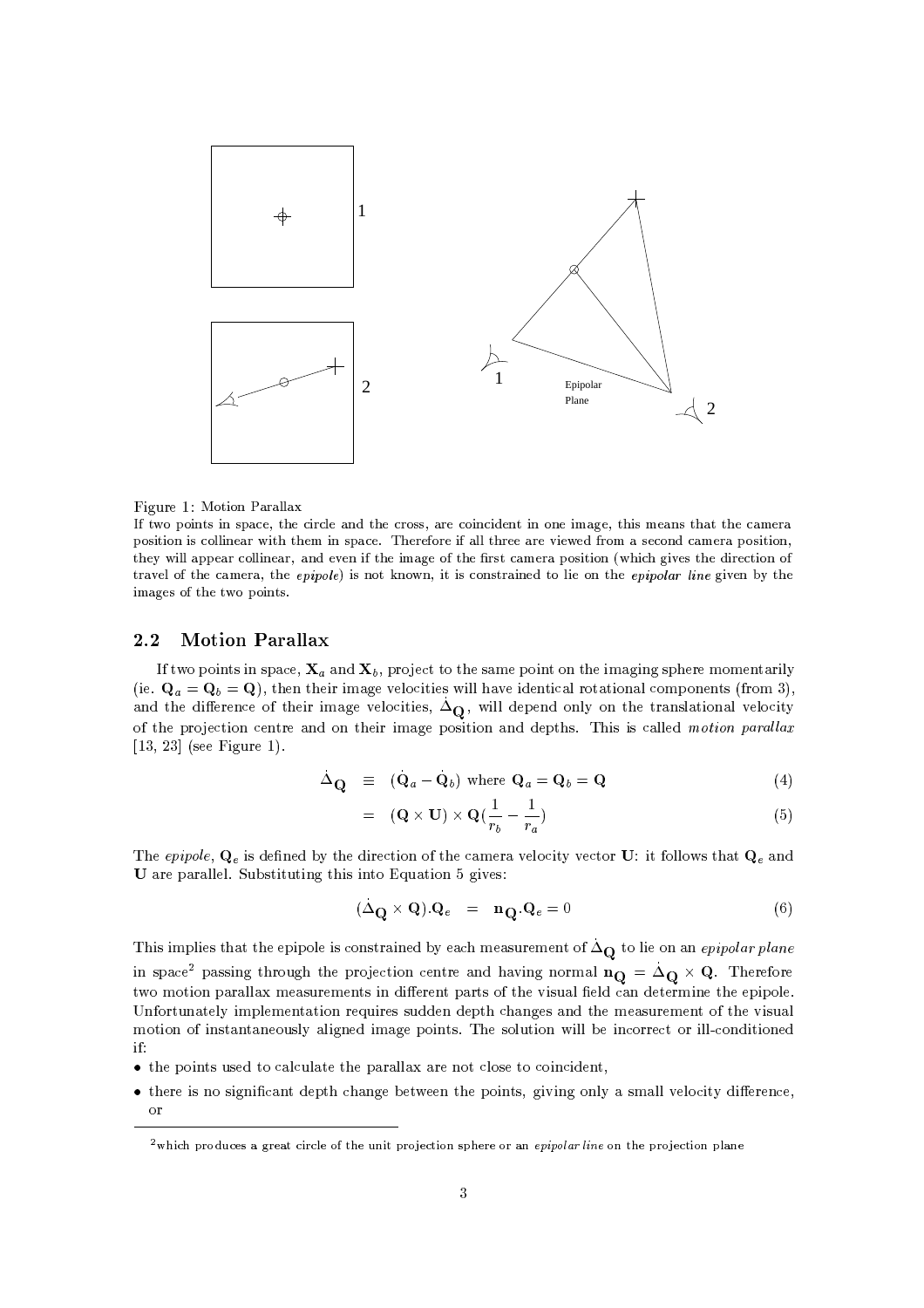

Figure 1: Motion Parallax

If two points in space, the circle and the cross, are coincident in one image, this means that the camera position is collinear with them in space. Therefore if all three are viewed from a second camera position, they will appear collinear, and even if the image of the first camera position (which gives the direction of travel of the camera, the epipole) is not known, it is constrained to lie on the epipolar line given by the images of the two points.

#### $2.2$ **Motion Parallax**

If two points in space,  $X_a$  and  $X_b$ , project to the same point on the imaging sphere momentarily (ie.  $\mathbf{Q}_a = \mathbf{Q}_b = \mathbf{Q}$ ), then their image velocities will have identical rotational components (from 3). and the difference of their image velocities,  $\Delta_{\mathbf{Q}}$ , will depend only on the translational velocity of the projection centre and on their image position and depths. This is called motion parallax  $[13, 23]$  (see Figure 1).

$$
\Delta_{\mathbf{Q}} \equiv (\mathbf{Q}_a - \mathbf{Q}_b) \text{ where } \mathbf{Q}_a = \mathbf{Q}_b = \mathbf{Q} \tag{4}
$$

$$
= (\mathbf{Q} \times \mathbf{U}) \times \mathbf{Q} \left( \frac{1}{r_b} - \frac{1}{r_a} \right) \tag{5}
$$

The epipole,  $Q_e$  is defined by the direction of the camera velocity vector U: it follows that  $Q_e$  and U are parallel. Substituting this into Equation 5 gives:

$$
(\Delta_{\mathbf{Q}} \times \mathbf{Q}) \cdot \mathbf{Q}_e = \mathbf{n}_{\mathbf{Q}} \cdot \mathbf{Q}_e = 0 \tag{6}
$$

This implies that the epipole is constrained by each measurement of  $\Delta_{\mathbf{Q}}$  to lie on an epipolar plane in space<sup>2</sup> passing through the projection centre and having normal  $\mathbf{n_Q} = \Delta_Q \times Q$ . Therefore two motion parallax measurements in different parts of the visual field can determine the epipole. Unfortunately implementation requires sudden depth changes and the measurement of the visual motion of instantaneously aligned image points. The solution will be incorrect or ill-conditioned  $if:$ 

- the points used to calculate the parallax are not close to coincident,
- there is no significant depth change between the points, giving only a small velocity difference, or

<sup>&</sup>lt;sup>2</sup> which produces a great circle of the unit projection sphere or an *epipolar line* on the projection plane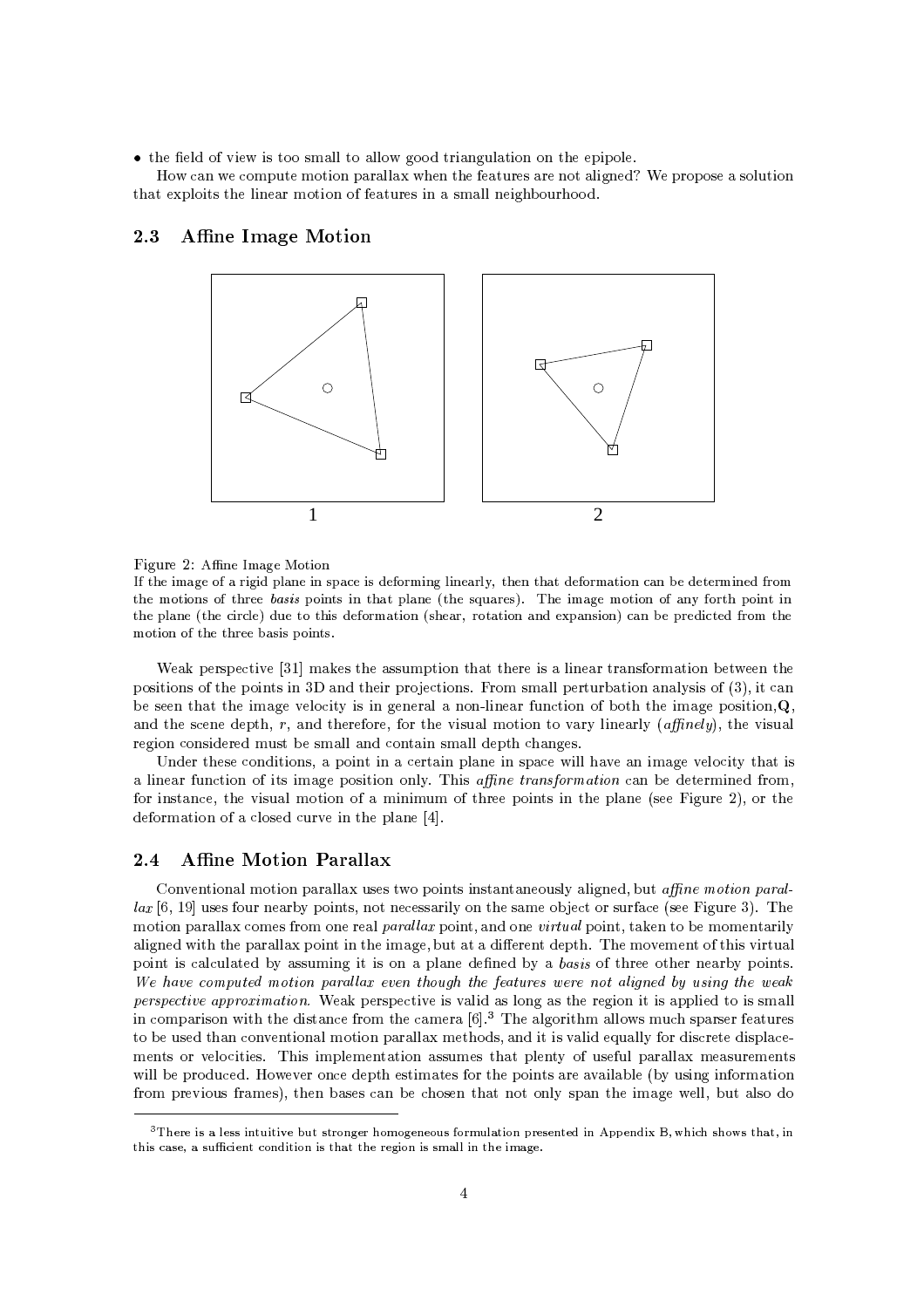$\bullet$  the field of view is too small to allow good triangulation on the epipole.

How can we compute motion parallax when the features are not aligned? We propose a solution that exploits the linear motion of features in a small neighbourhood.

#### 2.3 **Affine Image Motion**



Figure 2: Affine Image Motion

If the image of a rigid plane in space is deforming linearly, then that deformation can be determined from the motions of three basis points in that plane (the squares). The image motion of any forth point in the plane (the circle) due to this deformation (shear, rotation and expansion) can be predicted from the motion of the three basis points.

Weak perspective [31] makes the assumption that there is a linear transformation between the positions of the points in 3D and their projections. From small perturbation analysis of (3), it can be seen that the image velocity is in general a non-linear function of both the image position,  $Q$ , and the scene depth,  $r$ , and therefore, for the visual motion to vary linearly (*affinely*), the visual region considered must be small and contain small depth changes.

Under these conditions, a point in a certain plane in space will have an image velocity that is a linear function of its image position only. This *affine transformation* can be determined from. for instance, the visual motion of a minimum of three points in the plane (see Figure 2), or the deformation of a closed curve in the plane [4].

#### **Affine Motion Parallax**  $2.4$

Conventional motion parallax uses two points instantaneously aligned, but affine motion paral $lax$  [6, 19] uses four nearby points, not necessarily on the same object or surface (see Figure 3). The motion parallax comes from one real *parallax* point, and one *virtual* point, taken to be momentarily aligned with the parallax point in the image, but at a different depth. The movement of this virtual point is calculated by assuming it is on a plane defined by a basis of three other nearby points. We have computed motion parallax even though the features were not aligned by using the weak *perspective approximation.* Weak perspective is valid as long as the region it is applied to is small in comparison with the distance from the camera [6].<sup>3</sup> The algorithm allows much sparser features to be used than conventional motion parallax methods, and it is valid equally for discrete displacements or velocities. This implementation assumes that plenty of useful parallax measurements will be produced. However once depth estimates for the points are available (by using information from previous frames), then bases can be chosen that not only span the image well, but also do

<sup>&</sup>lt;sup>3</sup>There is a less intuitive but stronger homogeneous formulation presented in Appendix B, which shows that, in this case, a sufficient condition is that the region is small in the image.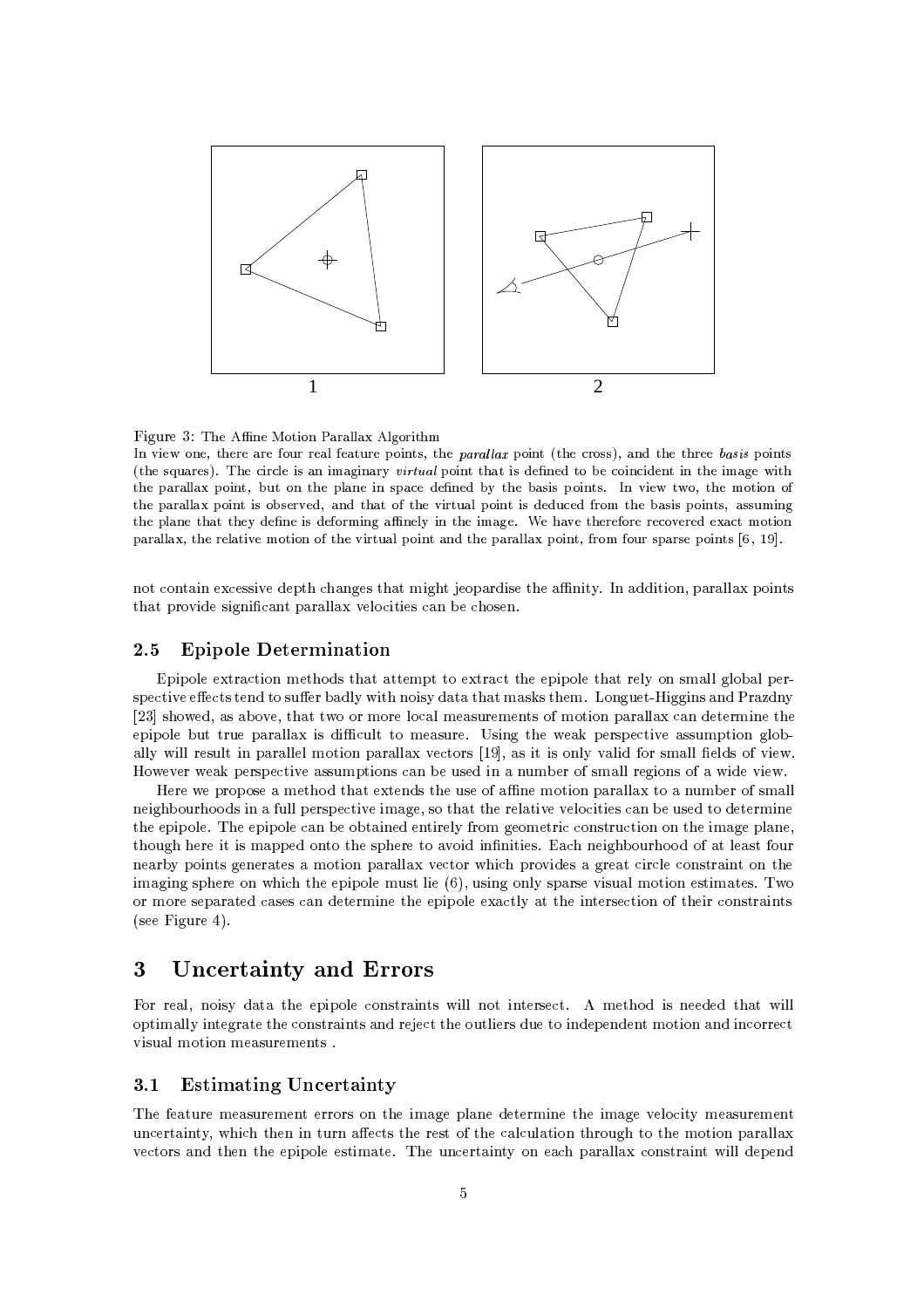

c/BD>
; mK\>RjC:@INCK PH PWWNPMg8;\_WNLMCHGIT@B\< 0"<L)84Y

In view one, there are four real feature points, the *parallax* point (the cross), and the three *basis* points (the squares). The circle is an imaginary virtual point that is defined to be coincident in the image with the parallax point, but on the plane in space defined by the basis points. In view two, the motion of the parallax point is observed, and that of the virtual point is deduced from the basis points, assuming @BD>^4WNPKD>@B\PM@R@BD>AruE4>4K\>
INURE4>FnCH <JIZK\LP ?K\>W0r~IZKz@B\>IT<?P:L:>:b-e>
BDPV:>@B\>H >#FnCH >
H >AQACVM>H >AEÈ>AgPMQA@R<mC:@INCK where the compact of the compact of the compact of the compact of the compact of the compact of the compact of

- 2-\* "%b<sup>2</sup> 55 "<6-\$ 2 L->5A AHS"<L ([\-\$4"<5 4@S"%Z+
\_Z!"%"%,\$\&%&'w\$-"%\*5 $\frac{1}{2}$  .  $\frac{1}{2}$  .  $\frac{1}{2}$  .  $\frac{1}{2}$  .  $\frac{1}{2}$  .  $\frac{1}{2}$  .  $\frac{1}{2}$ 

## 2.5 Epipole Determination

?K\$4"<\$&%=\*\<sup>2</sup> "<8H!> \*45 @ H!\$ \* <sup>2</sup> =>\$"%\$&%= &%+S-85 H7&%& L-&%& \$ 5\$ <sup>2</sup> "%6-f <sup>2</sup> 5 5) > &%+G"% =4-"%5+ \I H75 \_\*5 H A -L) GG"<LL-"%5 WK (+ EV4Q5 J ,56--,\* #ZJw#H!G&% <sup>2</sup> & H!/5) H!\*5I:9fHS-"%-S\$ & & <sup>2</sup> S HS"<G \$"%\$-&%S)w )S\$\&%&' "<5w" 2)4&<w H!/5) -^M@5"%L SJ/\_ \$5 \$ <sup>2</sup> "<6-85 5)HS\$"% L&%-- ل المال التالي الملك المال التالي التالي التالي التالي التالي التالي التالي التالي التالي التالي التالي التالي @J6-J/\_!\$5 \$ <sup>2</sup> "<6-T5 5)HS\$"%-45 <sup>2</sup> 7=)58"%w()Hb:9;5H7&%&L"<5:9Jw"% 6\*"%T

GGJG\$ -\$-5 = H! \*S #\*45# G)45G:9;S4@HS- "<S\$\&%&'b b ()Hb#9f5H7&%& "%L- \*-) \*\*5A"%!9N)&%&\$5 \$ <sup>2</sup> "%6-"%H7L-,5 A 4I &'"%6-6-&% <sup>2</sup> "%"%5 <sup>2</sup> O)5>O 4 H!"% $\mathbf{A} = \mathbf{A} + \mathbf{A} + \mathbf{A} + \mathbf{A} + \mathbf{A} + \mathbf{A} + \mathbf{A} + \mathbf{A} + \mathbf{A} + \mathbf{A} + \mathbf{A} + \mathbf{A} + \mathbf{A} + \mathbf{A} + \mathbf{A} + \mathbf{A} + \mathbf{A} + \mathbf{A} + \mathbf{A} + \mathbf{A} + \mathbf{A} + \mathbf{A} + \mathbf{A} + \mathbf{A} + \mathbf{A} + \mathbf{A} + \mathbf{A} + \mathbf{A} + \mathbf{A} + \mathbf{A} + \mathbf$  $\mathbf{1}$  . The same is the same of the same of the same of the same of the same of the same of the same of the same of the same of the same of the same of the same of the same of the same of the same of the same of the sa  $\mathbf{1}$  , and the set of the set of the set of the set of the set of the set of the set of the set of the set of the set of the set of the set of the set of the set of the set of the set of the set of the set of the set "%H7L"%LO5\$ > -7 " 2 7 \$"%\$-&% HO)5 I&%"<u4,)45"%LO-4&<+!5\$5 6\*"%5)& HS-"%S>5"%H8>5/
PJ $\mathbf{1}$  ,  $\mathbf{1}$  ,  $\mathbf{1}$  ,  $\mathbf{1}$  ,  $\mathbf{1}$  ,  $\mathbf{1}$  ,  $\mathbf{1}$  ,  $\mathbf{1}$  ,  $\mathbf{1}$  ,  $\mathbf{1}$  ,  $\mathbf{1}$  ,  $\mathbf{1}$  ,  $\mathbf{1}$  ,  $\mathbf{1}$  ,  $\mathbf{1}$  ,  $\mathbf{1}$  ,  $\mathbf{1}$  ,  $\mathbf{1}$  ,  $\mathbf{1}$  ,  $\mathbf{1}$  , '5 20"%L-) 0D

# 3 Uncertainty and Errors

0S/&Z,"<5 + \$"%\$-&% 25 "<\*5S"%&%&=4-S"%( 5 <sup>2</sup> <sup>1</sup> HS \* "%5S> S"%&%&-\$ "%H7&%&%+ "%( L-\ # 2-45\"%( 5;Oo[\ <sup>2</sup> f 4#)&%"% 5f)I "%\$4\*KHS- "< O"%2- <sup>2</sup> decreased by the set of the set of the set of the set of the set of the set of the set of the set of the set of

## 3.1 Estimating Uncertainty

https://www.article.com/distributed/international/communications/distributed/international/communications/communications/communications/communications/communications/communications/communications/communications/communicati )<sup>2</sup> > "%(Z+, " 2  "% )^ <sup>2</sup> 5@ 5@:9# <sup>2</sup> &2)&'"% 4-)4L- ! TH!"%-\$\&%&' 6- <sup>2</sup> -5 O\$"%\$-&%O5 "%H7 -7P O)<sup>2</sup> > "%(Z+- /<sup>2</sup> \$ &%& 25 "%\*="%&%&;>\$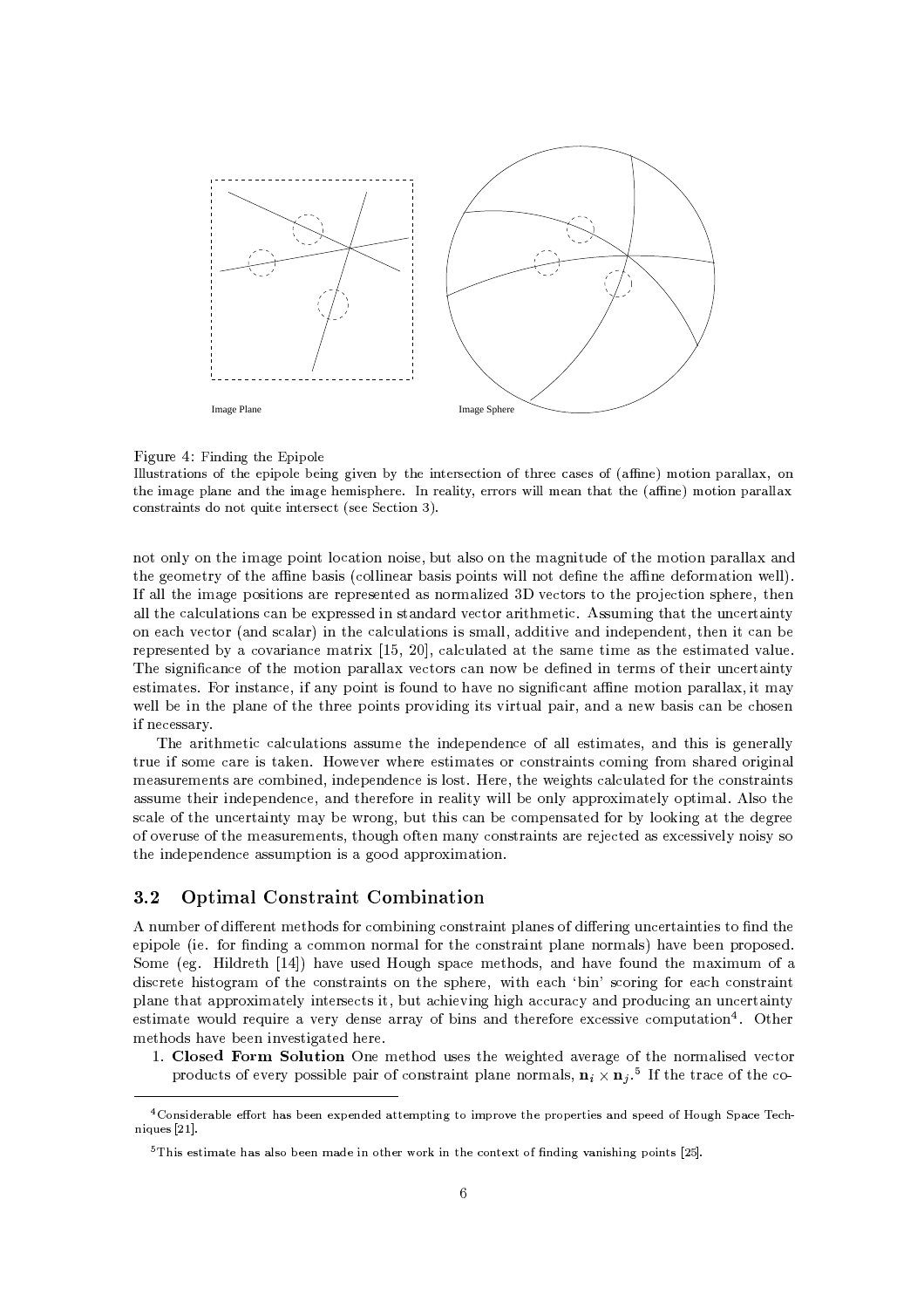

### Figure 4: Finding the Epipole

Illustrations of the epipole being given by the intersection of three cases of (affine) motion parallax, on the image plane and the image hemisphere. In reality, errors will mean that the (affine) motion parallax constraints do not quite intersect (see Section 3).

not only on the image point location noise, but also on the magnitude of the motion parallax and the geometry of the affine basis (collinear basis points will not define the affine deformation well). If all the image positions are represented as normalized 3D vectors to the projection sphere, then all the calculations can be expressed in standard vector arithmetic. Assuming that the uncertainty on each vector (and scalar) in the calculations is small, additive and independent, then it can be represented by a covariance matrix  $[15, 20]$ , calculated at the same time as the estimated value. The significance of the motion parallax vectors can now be defined in terms of their uncertainty estimates. For instance, if any point is found to have no significant affine motion parallax, it may well be in the plane of the three points providing its virtual pair, and a new basis can be chosen if necessary.

The arithmetic calculations assume the independence of all estimates, and this is generally true if some care is taken. However where estimates or constraints coming from shared original measurements are combined, independence is lost. Here, the weights calculated for the constraints assume their independence, and therefore in reality will be only approximately optimal. Also the scale of the uncertainty may be wrong, but this can be compensated for by looking at the degree of overuse of the measurements, though often many constraints are rejected as excessively noisy so the independence assumption is a good approximation.

#### $3.2$ **Optimal Constraint Combination**

A number of different methods for combining constraint planes of differing uncertainties to find the epipole (ie. for finding a common normal for the constraint plane normals) have been proposed. Some (eg. Hildreth [14]) have used Hough space methods, and have found the maximum of a discrete histogram of the constraints on the sphere, with each 'bin' scoring for each constraint plane that approximately intersects it, but achieving high accuracy and producing an uncertainty estimate would require a very dense array of bins and therefore excessive computation<sup>4</sup>. Other methods have been investigated here.

1. Closed Form Solution One method uses the weighted average of the normalised vector products of every possible pair of constraint plane normals,  $\mathbf{n}_i \times \mathbf{n}_j$ .<sup>5</sup> If the trace of the co-

<sup>&</sup>lt;sup>4</sup>Considerable effort has been expended attempting to improve the properties and speed of Hough Space Techniques [21].

 $5$ This estimate has also been made in other work in the context of finding vanishing points [25].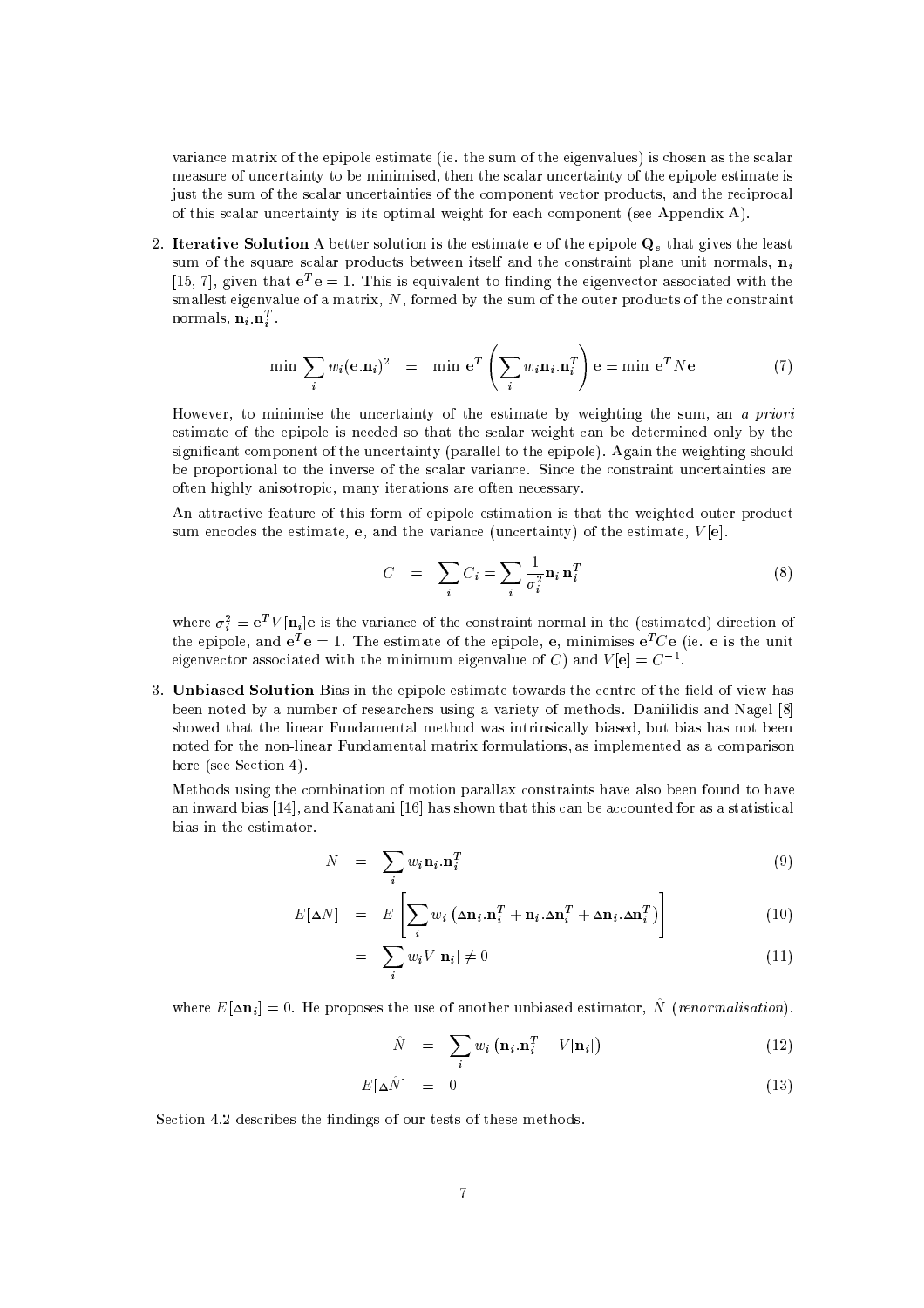6 "'<sup>2</sup> #H8 "0T:9 4J\$4"<\$&%J5 "%H7?'"%- 4J5 )H :9 #"%L->(6&%)5, "%5 2 4-5>O5K #5<sup>2</sup> &' H!/5) #:9 )<sup>2</sup> > "%(Z+T=#HS"<4"<HS"%5, w #5<sup>2</sup> & K)<sup>2</sup> > "%(Z+T9 #\$"%\$-&%#5 "%H7 #"<5 $\pm$  3  $\pm$  3  $\pm$  3  $\pm$  3  $\pm$  3  $\pm$  3  $\pm$  3  $\pm$  3  $\pm$  3  $\pm$  3  $\pm$  3  $\pm$  3  $\pm$  3  $\pm$  3  $\pm$ :9; "%55<sup>2</sup> & I)4<sup>2</sup> "%\*N+!"%5"%5-\$ "<H8&J>"<L (J9o-/<sup>2</sup> <sup>2</sup> -H!\$\*.q5 1\$\$4"0 1

2. Iterative Solution A better solution is the estimate e of the epipole  $Q_1$  that gives the least cum of the cauare scalar products between itself and the constraint plane unit normals  $\bf{n}$  $[15, 7]$  without  $\pi$ ,  $T_{\alpha} = 1$ . This is conjugiont to finding the cigary stan associated with the normals,  $\mathbf{n}_i \cdot \mathbf{n}_i^T$  , 5H8&%&%5f"%L->(6&<)4#9 H7 "T , ,:9oHbw\*+ 4#5 )H :9 I-) f\$\*4)<sup>2</sup> 5f9 <sup>2</sup> -5 "%(

$$
\min \sum_{i} w_i(\mathbf{e}.\mathbf{n}_i)^2 = \min \mathbf{e}^T \left( \sum_{i} w_i \mathbf{n}_i . \mathbf{n}_i^T \right) \mathbf{e} = \min \mathbf{e}^T N \mathbf{e}
$$
 (7)

 $\blacksquare$  To metric the uncertainty of the estimate by metablism the sum on a swiggi  $\mathbf{S} = \mathbf{S} + \mathbf{S} + \mathbf{S} + \mathbf{S} + \mathbf{S} + \mathbf{S} + \mathbf{S} + \mathbf{S} + \mathbf{S} + \mathbf{S} + \mathbf{S} + \mathbf{S} + \mathbf{S} + \mathbf{S} + \mathbf{S} + \mathbf{S} + \mathbf{S} + \mathbf{S} + \mathbf{S} + \mathbf{S} + \mathbf{S} + \mathbf{S} + \mathbf{S} + \mathbf{S} + \mathbf{S} + \mathbf{S} + \mathbf{S} + \mathbf{S} + \mathbf{S} + \mathbf{S} + \mathbf$ 5"%L-4"Z<sup>2</sup> \* 2H!\$(Q:9 ;)4<sup>2</sup> "%\*N+Èq\$\&%&%& J\$"%\$-&%M> 1L("% 4;J"%L ("%L 5 )&%  $\mathbf{1}$  ,  $\mathbf{1}$  ,  $\mathbf{1}$  ,  $\mathbf{1}$  ,  $\mathbf{1}$  ,  $\mathbf{1}$  ,  $\mathbf{1}$  ,  $\mathbf{1}$  ,  $\mathbf{1}$  ,  $\mathbf{1}$  ,  $\mathbf{1}$  ,  $\mathbf{1}$  ,  $\mathbf{1}$  ,  $\mathbf{1}$  ,  $\mathbf{1}$  ,  $\mathbf{1}$  ,  $\mathbf{1}$  ,  $\mathbf{1}$  ,  $\mathbf{1}$  ,  $\mathbf{1}$  , :9o 7 4"<L &%+7"%5 - -\$" <sup>2</sup> ,H8\*+!"< "%-45 9o>7 <sup>2</sup> 55\+(

1 \<sup>2</sup> "<6- 9o)4D:9 "%59o- H :9\$"%\$-&%D5 "%H7"%-^"%5 D#"%L- ( ^-) \$ \*)<sup>2</sup> the state of the state of the state of the state of the state of the state of the state of the state of the state of the state of the state of the state of the state of the state of the state of the state of the state of t

$$
C = \sum_{i} C_i = \sum_{i} \frac{1}{\sigma_i^2} \mathbf{n}_i \, \mathbf{n}_i^T
$$
\n(8)

 $\mathbf{a}_i^2 = \mathbf{e}^T V[\mathbf{n}_i] \mathbf{e}$  is the variance of the constraint normal in the (estimated) di  $\mathcal{L}$  . The set of the set of the set of the set of the set of the set of the set of  $\mathcal{L}$  "%5J @6-"'<sup>2</sup> @9K 25 "<\*J4-H8& "%S O'5 "%H7[;"% <sup>2</sup> "%-S:9 $\mathbf{A}^{\text{H}}$  , and  $\mathbf{A}^{\text{H}}$  ,  $\mathbf{A}^{\text{H}}$  ,  $\mathbf{A}^{\text{H}}$  ,  $\mathbf{A}^{\text{H}}$  ,  $\mathbf{A}^{\text{H}}$  ,  $\mathbf{A}^{\text{H}}$  ,  $\mathbf{A}^{\text{H}}$  ,  $\mathbf{A}^{\text{H}}$  ,  $\mathbf{A}^{\text{H}}$  ,  $\mathbf{A}^{\text{H}}$  ,  $\mathbf{A}^{\text{H}}$  ,  $\mathbf{A}^{\text{H}}$ - 2 - 2011 - 2011 - 2012 - 2014 - 2014 - 2014 - 2014 - 2014 - 2014 - 2014 - 2014 - 2014 - 2014 - 201 y <sup>m</sup> <sup>y</sup> y <sup>y</sup> <sup>y</sup> <sup>y</sup> <sup>y</sup> <sup>y</sup>

4 U#" 5#"%S 4G\$"%\$-&%G5 "%H7G :45# 4 <sup>2</sup> \* :9f 4
&%S9f6("% 5 SmcKkopey¸ <sup>º</sup> a}odQgkoam 4->(+b()Hb@:9J 5/2 5@)5 "<4LSb6 "<>N+7:9#H! \*5 F=4"<"%&%"%"%5G=L->&\$#. The state of the state of the state of the state of the state of the state of the state of the state of the s - 9o-I -Z&%"%/ 0)H!>(\& H7 "TO9o- HO)&'"<-5,>5I"%H!\$&%HS( 85 2H!\$"%5  $\blacksquare$  requires the set of  $\blacksquare$ 

8 \*5I)5"%LO 4 2HO"%"%-7:9AH!- "%-S\$ &%& 2-5 \"%( 5# 6- &%5Ob9N-)7O 6-T"%(T4" 52%-0,T " %-:M4 55 T "%5 <sup>2</sup> TJ2>2-)\* 9N-Q5Q5\ "<5 " <sup>2</sup> & "'5"%7 4 5 "%H7-

$$
N = \sum_{i} w_i \mathbf{n}_i \cdot \mathbf{n}_i^T
$$
 (9)

$$
E[\Delta N] = E\left[\sum_{i} w_i \left(\Delta \mathbf{n}_i \cdot \mathbf{n}_i^T + \mathbf{n}_i \cdot \Delta \mathbf{n}_i^T + \Delta \mathbf{n}_i \cdot \Delta \mathbf{n}_i^T\right)\right]
$$
(10)

$$
= \sum_{i} w_i V[\mathbf{n}_i] \neq 0 \tag{11}
$$

where  $F[\lambda n] = 0$ . He proposes the use of another unbiased estimator. N (repertualization)

$$
\hat{N} = \sum_{i} w_i \left( \mathbf{n}_i \cdot \mathbf{n}_i^T - V[\mathbf{n}_i] \right) \tag{12}
$$

$$
E[\Delta \hat{N}] = 0 \tag{13}
$$

r and the sound and and the sound of the sound of the sound of the sound of the sound of the sound of the sound of the sound of the sound of the sound of the sound of the sound of the sound of the sound of the sound of the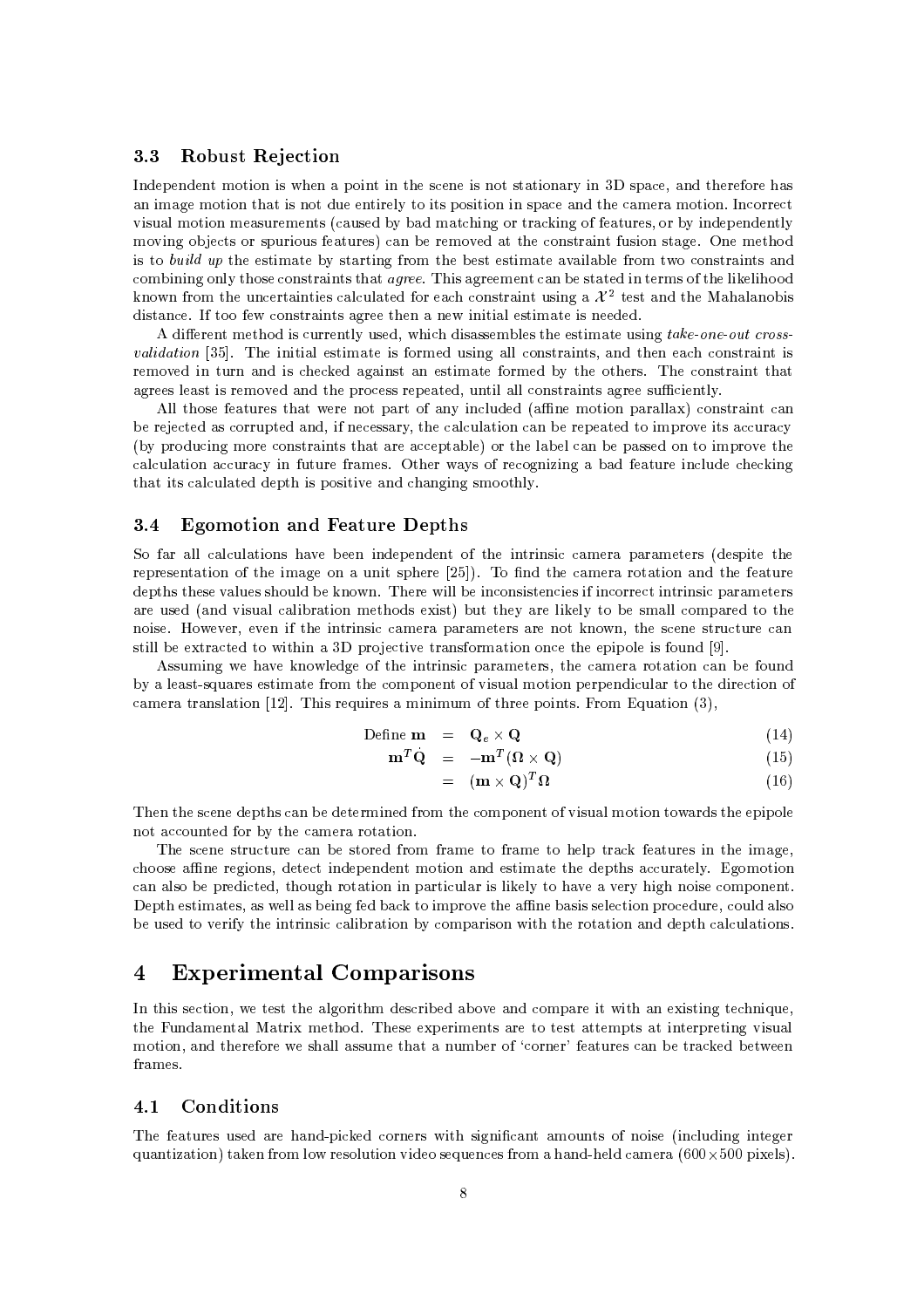#### $3.3$ **Robust Rejection**

Independent motion is when a point in the scene is not stationary in 3D space, and therefore has an image motion that is not due entirely to its position in space and the camera motion. Incorrect visual motion measurements (caused by bad matching or tracking of features, or by independently moving objects or spurious features) can be removed at the constraint fusion stage. One method is to build up the estimate by starting from the best estimate available from two constraints and combining only those constraints that *agree*. This agreement can be stated in terms of the likelihood known from the uncertainties calculated for each constraint using a  $\mathcal{X}^2$  test and the Mahalanobis distance. If too few constraints agree then a new initial estimate is needed.

A different method is currently used, which disassembles the estimate using take-one-out cross*validation* [35]. The initial estimate is formed using all constraints, and then each constraint is removed in turn and is checked against an estimate formed by the others. The constraint that agrees least is removed and the process repeated, until all constraints agree sufficiently.

All those features that were not part of any included (affine motion parallax) constraint can be rejected as corrupted and, if necessary, the calculation can be repeated to improve its accuracy (by producing more constraints that are acceptable) or the label can be passed on to improve the calculation accuracy in future frames. Other ways of recognizing a bad feature include checking that its calculated depth is positive and changing smoothly.

#### **Egomotion and Feature Depths**  $3.4$

So far all calculations have been independent of the intrinsic camera parameters (despite the representation of the image on a unit sphere [25]). To find the camera rotation and the feature depths these values should be known. There will be inconsistencies if incorrect intrinsic parameters are used (and visual calibration methods exist) but they are likely to be small compared to the noise. However, even if the intrinsic camera parameters are not known, the scene structure can still be extracted to within a 3D projective transformation once the epipole is found [9].

Assuming we have knowledge of the intrinsic parameters, the camera rotation can be found by a least-squares estimate from the component of visual motion perpendicular to the direction of camera translation [12]. This requires a minimum of three points. From Equation (3),

Define 
$$
\mathbf{m} = \mathbf{Q}_e \times \mathbf{Q}
$$
 (14)

$$
\mathbf{m}^T \mathbf{Q} = -\mathbf{m}^T (\mathbf{\Omega} \times \mathbf{Q}) \tag{15}
$$

$$
= (\mathbf{m} \times \mathbf{Q})^T \Omega \tag{16}
$$

Then the scene depths can be determined from the component of visual motion towards the epipole not accounted for by the camera rotation.

The scene structure can be stored from frame to frame to help track features in the image. choose affine regions, detect independent motion and estimate the depths accurately. Egomotion can also be predicted, though rotation in particular is likely to have a very high noise component. Depth estimates, as well as being fed back to improve the affine basis selection procedure, could also be used to verify the intrinsic calibration by comparison with the rotation and depth calculations.

#### **Experimental Comparisons**  $\overline{4}$

In this section, we test the algorithm described above and compare it with an existing technique, the Fundamental Matrix method. These experiments are to test attempts at interpreting visual motion, and therefore we shall assume that a number of 'corner' features can be tracked between frames.

#### Conditions  $4.1$

The features used are hand-picked corners with significant amounts of noise (including integer quantization) taken from low resolution video sequences from a hand-held camera  $(600 \times 500)$  pixels).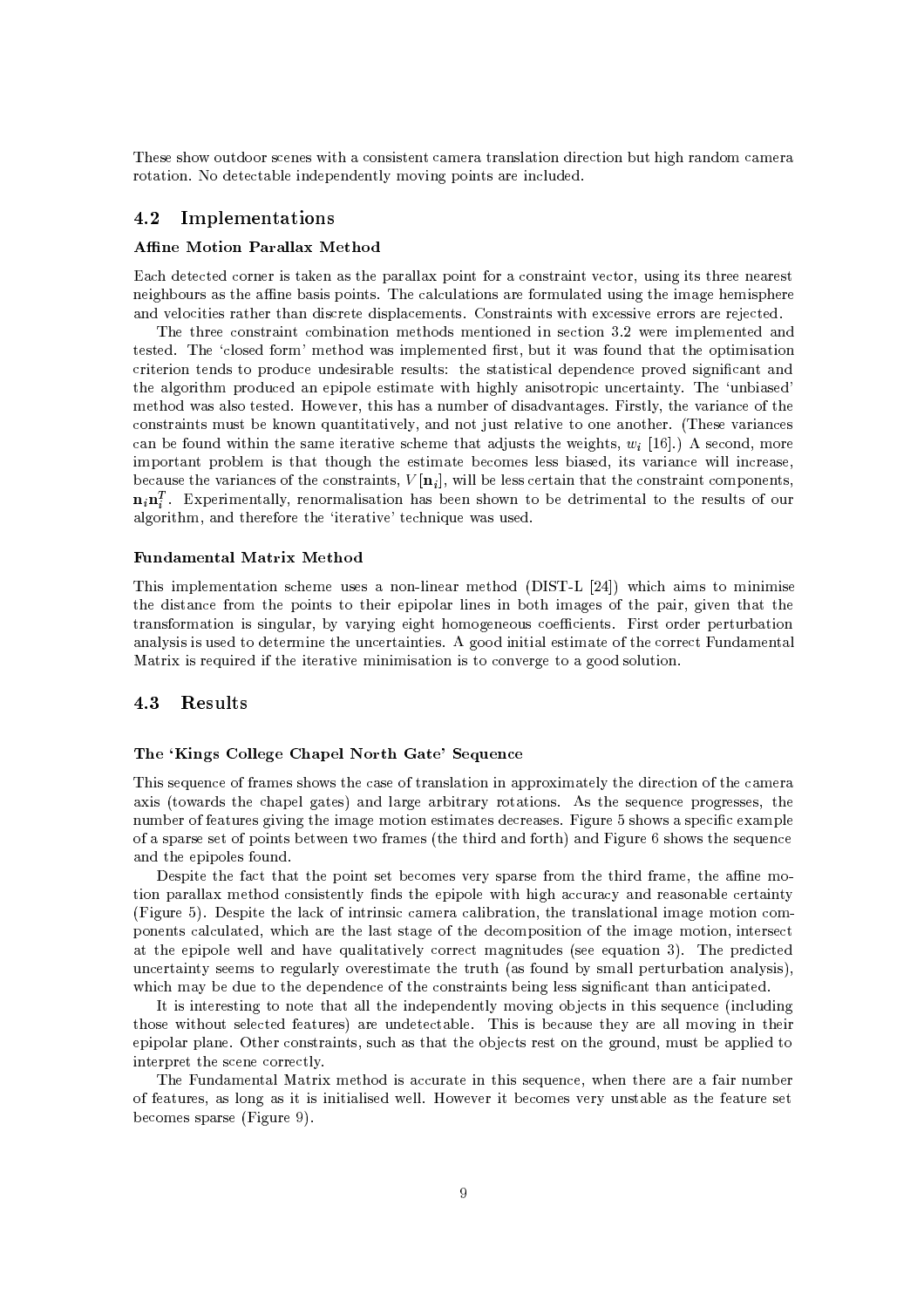P 5 #5 x-)4\*f5<sup>2</sup> >5f"% 2-45"%5 ( <sup>2</sup> H!\ \5 & "%-O"% <sup>2</sup> "%w4)f "%L- O -H <sup>2</sup> H!> "%- @b <sup>2</sup> &% "%\$>\*&%+!H!6\*"%LO\$"<\*5@ "%<sup>2</sup> &%)4

## 4.2 Implementations

### tDvxmKy^z{ag/koamn|@psp}l}op~ z{y\*gKa ¸

?A2 7 <sup>2</sup> > 2- I"%5I\\_-5I 4 \$\&%&'!\$-"%(J9o- 2-45\"%(6- <sup>2</sup> /,Q)5"%LO"% 5I /5 "%L- \*-) 55# 4 SG5 "<5#\$"<\*5
AP <sup>2</sup> & 2)&' "%-59o- HO)4& S)5 "<4Lw G"%H7LG H!"%5 \$ 86-&% <sup>2</sup> "%"%5 >I 8"%5<sup>2</sup> ="%5\$&'<sup>2</sup> H!\*5
 #-5 "%(5"% 8<sup>2</sup> 55 "%6- - 5=l[\ <sup>2</sup> >

can be found within the same iterative scheme that adjusts the weights  $\mu$ . [16] ) A second more because the variances of the constraints  $V[n]$  will be less certain that the constraint components  $\mathbf{n} \cdot \mathbf{n}^T$  Experimentally renormalisation has been shown to be detrimental to the results of our P 8 <sup>2</sup> -5 "%( 2-Hb"% "%- HS 4\*5OHS( "%- "% 5 <sup>2</sup> "%-|
EV J8"%H!\$&%HS( 5 DP <sup>2</sup> &%-5 9o- H^C HS I5 "%H!\$&%H\*f 5,4) "< 59o-)4^ G D-\$ "<HS"%5 "%-2 "% "%-45 \$4\*)<sup>2</sup> O)45"%\&%O 5)4&< 5/Y b5 "%5 " <sup>2</sup> &J>\$<sup>2</sup> O\$ :6 <sup>5</sup>"<L"l<sup>2</sup> (D &%L-"% H \$ )<sup>2</sup> >\$"%\$&%w5 "%H7w"% "%L- &%+ "%5 - -\$" <sup>2</sup> )<sup>2</sup> "<\*N+( P )4("'5 CH! \*SI5&%5w>5>
!@J6-, "%5# 5 \*)Hb#:9f"%5 6\* L-5 0"% 5&%+(,( G6"'<sup>2</sup> G:9f 2-45\"%( 5@HO)5 @T\_\*f\*)("%\"%6-&%+(,4-Q[\)5 &' "<6 ! - 
~'P >5T6 " <sup>2</sup> 5 "%H!\$- \*b\$ -&%H "<5 b )L- 85 "%H78 <sup>2</sup> -H!>5b&%55b4" 5 ,K"< 5b6"'<sup>2</sup> 8"%&<&G"%<sup>2</sup> /5 -, $\mathbf{A} = \mathbf{A} + \mathbf{A} + \mathbf{A} + \mathbf{A} + \mathbf{A} + \mathbf{A} + \mathbf{A} + \mathbf{A} + \mathbf{A} + \mathbf{A} + \mathbf{A} + \mathbf{A} + \mathbf{A} + \mathbf{A} + \mathbf{A} + \mathbf{A} + \mathbf{A} + \mathbf{A} + \mathbf{A} + \mathbf{A} + \mathbf{A} + \mathbf{A} + \mathbf{A} + \mathbf{A} + \mathbf{A} + \mathbf{A} + \mathbf{A} + \mathbf{A} + \mathbf{A} + \mathbf{A} + \mathbf$ 

### dkm, panjarangan ang panjarangan na panjarangan na panjarangan na panjarangan na panjarangan na kalendar na pa

P "%5S"<HS\$&%H!>( "%- <sup>5</sup>2 HS)4558 -Z&%"%/SH! \*lFR\*P( tEV0M " 2 {"%HS5! xH!"%"%H"5  $\mathbf{A} = \mathbf{A} \mathbf{B} \mathbf{A} + \mathbf{B} \mathbf{A} + \mathbf{B} \mathbf{A} + \mathbf{B} \mathbf{A} + \mathbf{B} \mathbf{A} + \mathbf{B} \mathbf{A} + \mathbf{B} \mathbf{A} + \mathbf{B} \mathbf{A} + \mathbf{B} \mathbf{A} + \mathbf{B} \mathbf{A} + \mathbf{B} \mathbf{A} + \mathbf{B} \mathbf{A} + \mathbf{B} \mathbf{A} + \mathbf{B} \mathbf{A} + \mathbf{B} \mathbf{A} + \mathbf{B} \mathbf{A}$  $\overline{\phantom{a}}$  ,  $\overline{\phantom{a}}$  ,  $\overline{\phantom{a}}$  ,  $\overline{\phantom{a}}$  ,  $\overline{\phantom{a}}$  ,  $\overline{\phantom{a}}$  ,  $\overline{\phantom{a}}$  ,  $\overline{\phantom{a}}$  ,  $\overline{\phantom{a}}$  ,  $\overline{\phantom{a}}$  ,  $\overline{\phantom{a}}$  ,  $\overline{\phantom{a}}$  ,  $\overline{\phantom{a}}$  ,  $\overline{\phantom{a}}$  ,  $\overline{\phantom{a}}$  ,  $\overline{\phantom{a}}$ &%+(5 "%5f"%5A)5 bT HS"%I )<sup>2</sup> > "%("%5 <sup>1</sup> L\*\*b"<4"< "'&5 "%H7:9 4 <sup>2</sup> - <sup>2</sup> 0)H!\* &  "0!"%5I \*)"%8"9A 4 "%\ "<6-=H!"%"%H!"%5\"%7"%5I 2-(6L !wL-\*\*T5&<)4"%-

## 4.3 Results – Jacques States

### kana kata as ay isang pangalang pangalang pangalang pangalang pangalang pangalang pangalang pangalang pangalang pang

P "%5A5 \*)<sup>2</sup> :9 9N HS5A5 5A 4 <sup>2</sup> 59 \5 & "%- "%!\$\$4("%H8>&<+w "% <sup>2</sup> "%b:9Q <sup>2</sup> H!> \*"%5f'I5O 4 2 \$&@L(5Aw & L8"%\ + "%-5 15O 75()42 7\$L- 55 5, ()Hbf9 9o/) 5fL-"%6\*"%L I"%H7LIH!"%-O5 "%HS5f4 <sup>2</sup> 5>5/
!0"%L) <sup>5</sup> 5; <sup>5</sup>\$ <sup>2</sup> "l<sup>2</sup> HS\$&% :9f=5 \$ 55 A9 \$"<\*5;ZJ N# 9o\HS5Jq "% !w9o- [;4 0"%L-) J 5 5A 5 \*)<sup>2</sup> 8 =\$"%\$-&%5J9o)

FG5 \$"%w 4 9<sup>2</sup> = w\$-"%\*=5 2-HS5=6- +5 \$ 5T9o -H 4w "%9N HS-,f bSwHS  $\mathbf{1} \quad \mathbf{1} \quad \mathbf{1} \quad \mathbf{1} \quad \mathbf{1} \quad \mathbf{1} \quad \mathbf{2} \quad \mathbf{3} \quad \mathbf{1} \quad \mathbf{1} \quad \mathbf{1} \quad \mathbf{1} \quad \mathbf{1} \quad \mathbf{1} \quad \mathbf{1} \quad \mathbf{1} \quad \mathbf{1} \quad \mathbf{1} \quad \mathbf{1} \quad \mathbf{1} \quad \mathbf{1} \quad \mathbf{1} \quad \mathbf{1} \quad \mathbf{1} \quad \mathbf{1} \quad \mathbf{1} \quad \mathbf{1} \quad \mathbf{$ #0"%L-) E' FG5 \$"%T T&'2\_8:9I"%( "%5" 2T2 H!> 2&%"% "%- , T 5&' "%-&K"<H8LTH!"%- 2-H \$-\*5 <sup>2</sup> & 2)&', " <sup>2</sup> D 4D& 5 <sup>5</sup> L-D:9 D 2-HS\$-5"% "<^:9 D"%H7LDH!"%-,"%(>5 <sup>2</sup> b 7\$4"<\$&%7J&%& /6-z()&%"% "%6-&%+ <sup>2</sup> - <sup>2</sup> bH7L"%)45fq57()"%S4 P 7\$ " <sup>2</sup> )<sup>2</sup> > "%(Z+5 H!5=7 L-)4& &%+:6->5 "%H7D D ) o59N-) (+5H8&%&f\$>)4"%- &%+\*5"%5,>,  $\frac{1}{2}$  ,  $\frac{1}{2}$  ,  $\frac{1}{2}$  ,  $\frac{1}{2}$  ,  $\frac{1}{2}$  ,  $\frac{1}{2}$  ,  $\frac{1}{2}$  ,  $\frac{1}{2}$  ,  $\frac{1}{2}$  ,  $\frac{1}{2}$  ,  $\frac{1}{2}$ 

ZG"<5G"%(>5 "%LS!4- &%&K T"%\$>\*&%+8H!6("%LS-[\ <sup>2</sup> 5@"% "%5@5 \*)<sup>2</sup> e'"%<sup>2</sup> &%)4"<4L 5!"% )D5&% <sup>2</sup> 9o/) 5,D!)> <sup>2</sup> \4&< P "%5D"%5D <sup>2</sup> )45! >+ S&%&IH!6\*"%L^"% "% $\qquad \qquad \bullet$  . And the state of the state of the state of the state of the state of the state of the state of the state of the state of the state of the state of the state of the state of the state of the state of the state  $\blacksquare$  . The set of the set of the set of the set of the set of the set of the set of the set of the set of the set of the set of the set of the set of the set of the set of the set of the set of the set of the set of the

 $\blacksquare$  . The distribution of the distribution of  $\blacksquare$  . The distribution of the distribution of the distribution of the distribution of the distribution of the distribution of the distribution of the distribution of the :9#9N/ )5,K5 &<L5="% "%5="%"%"'&<"%5 J>&<&Z
GJ6- "%= 2H!5 6- +)5\&%b5= T9N/ )w5 2-HS55\$5 u#0"%L-)4 .'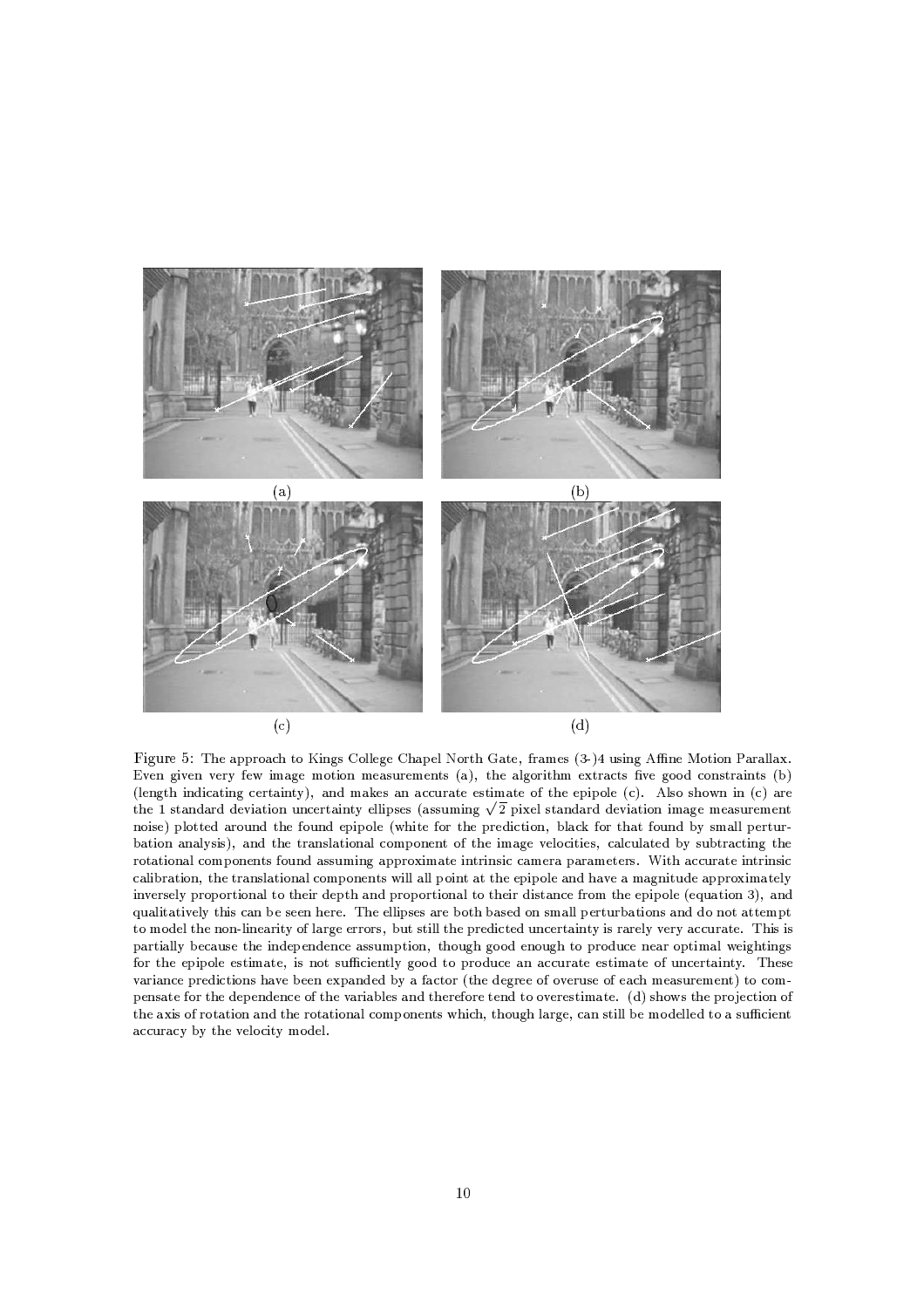

Figure 5: The approach to Kings College Chapel North Gate, frames (3-)4 using Affine Motion Parallax. Even given very few image motion measurements (a), the algorithm extracts five good constraints (b) (length indicating certainty), and makes an accurate estimate of the epipole  $(c)$ . Also shown in  $(c)$  are the 1 standard deviation uncertainty ellipses (assuming  $\sqrt{2}$  pixel standard deviation image measurement noise) plotted around the found epipole (white for the prediction, black for that found by small perturbation analysis), and the translational component of the image velocities, calculated by subtracting the rotational components found assuming approximate intrinsic camera parameters. With accurate intrinsic calibration, the translational components will all point at the epipole and have a magnitude approximately inversely proportional to their depth and proportional to their distance from the epipole (equation 3), and qualitatively this can be seen here. The ellipses are both based on small perturbations and do not attempt to model the non-linearity of large errors, but still the predicted uncertainty is rarely very accurate. This is partially because the independence assumption, though good enough to produce near optimal weightings for the epipole estimate, is not sufficiently good to produce an accurate estimate of uncertainty. These variance predictions have been expanded by a factor (the degree of overuse of each measurement) to compensate for the dependence of the variables and therefore tend to overestimate. (d) shows the projection of the axis of rotation and the rotational components which, though large, can still be modelled to a sufficient accuracy by the velocity model.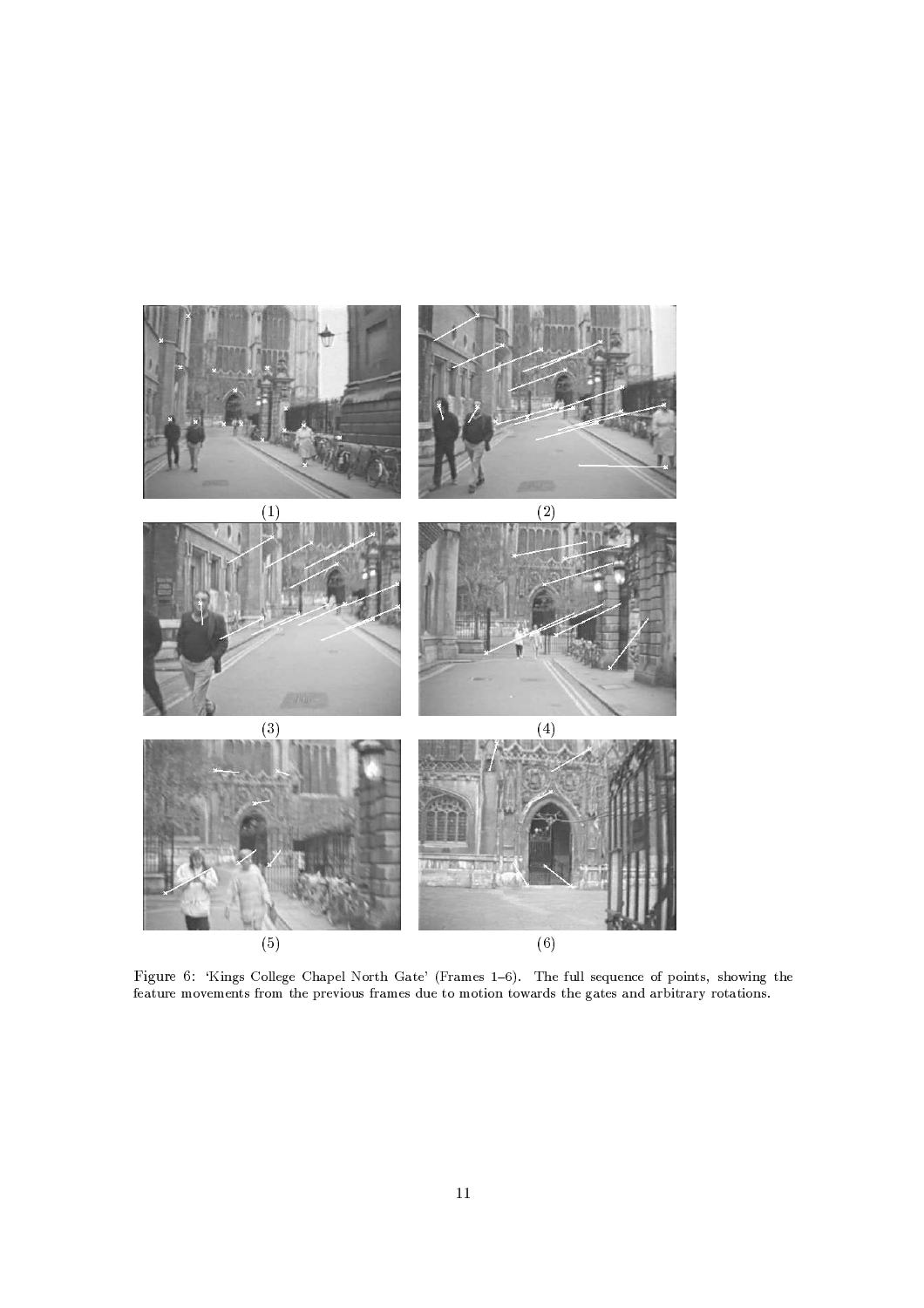

 $W_{\text{image}}$  College Chanel North Cate' (Frames 1.6) The full sequence of points showing the  $\mathcal{A}$  and a contract and a contract and a contract and a contract and a contract and a contract and a contract and a contract and a contract of the contract of the contract of the contract of the contract of the contrac  $\blacksquare$  .  $\blacksquare$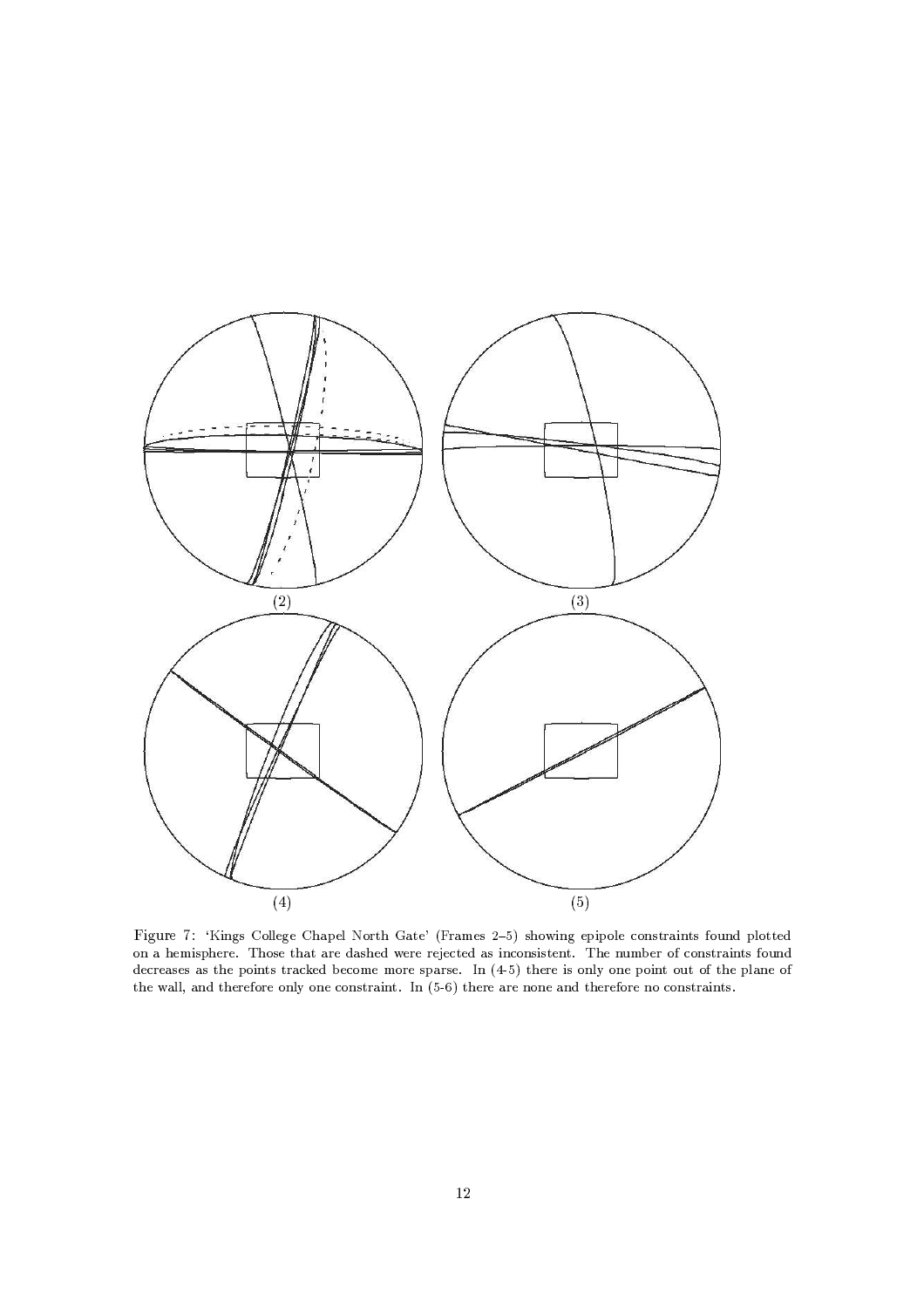

Figure 7 Kings College Chanol North Cate, (Frames 9.5) showing opinels constraints found plotted on a hemisphere. Those that are dashed were rejected as inconsistent. The number of constraints found  $\blacksquare$ @BD>
i/PWWno)PKDE@B\>#H >FnCH >RCK4WNr8C%K\>RQACK\UG@H PIZK)@Ab TK !@BD>H >RPH >7K\C%K\>RPKDE@B\>H >#FnCH >7K\CmQAC%K\UG@H P%IZK)@GUAb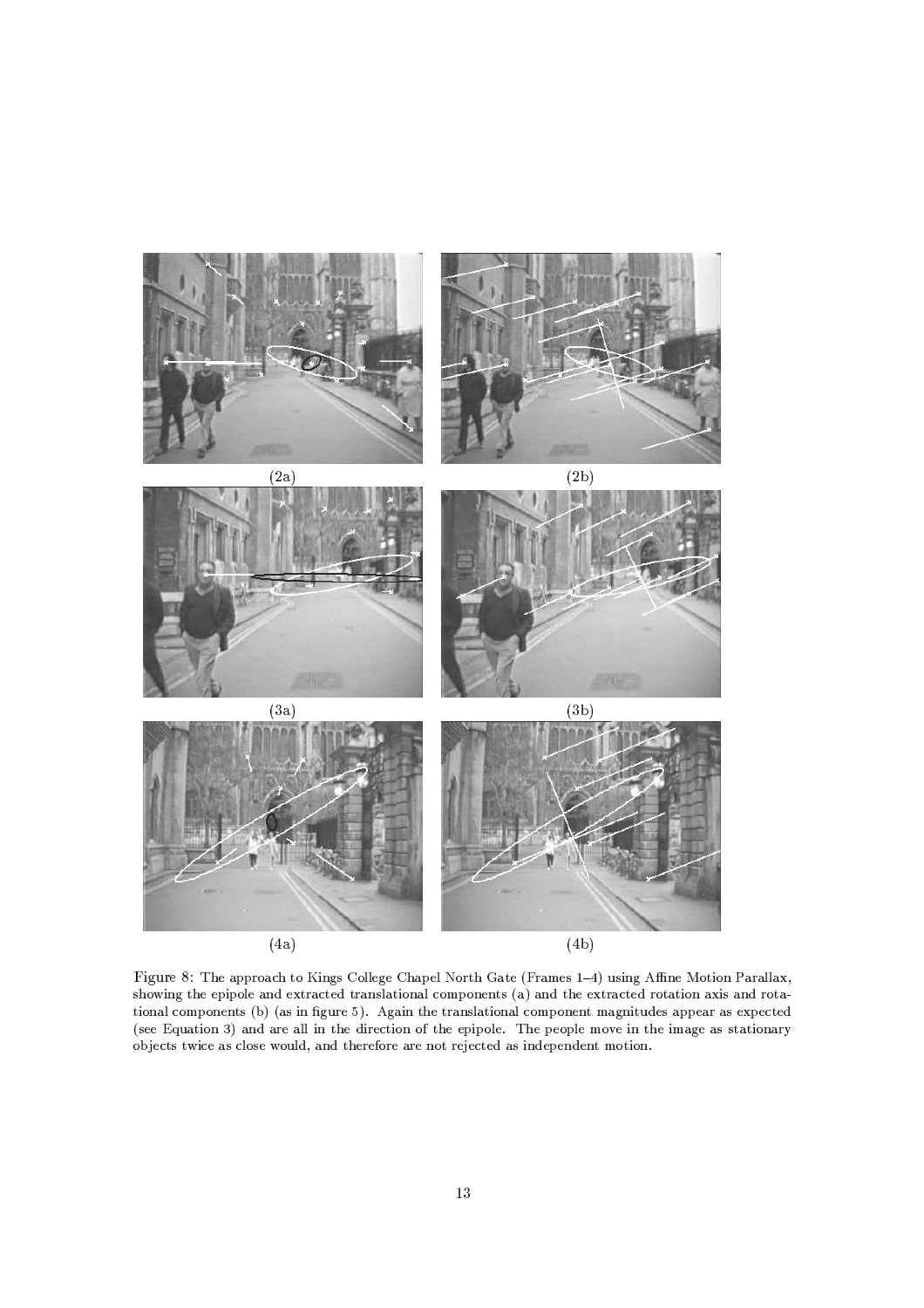

Figure 8: The epproach to Kings Colloge Chapel North Cate (Frames 1, 4) using Affine Motion Parallay  $U\subset A$  in the state of the state of the state of the state of the state of the state of the state of the state of the state of the state of the state of the state of the state of the state of the state of the state of the  $\blacksquare$ (see Equation 3) and are all in the direction of the epipole. The people move in the image as stationary objects twice as close would, and therefore are not rejected as independent motion.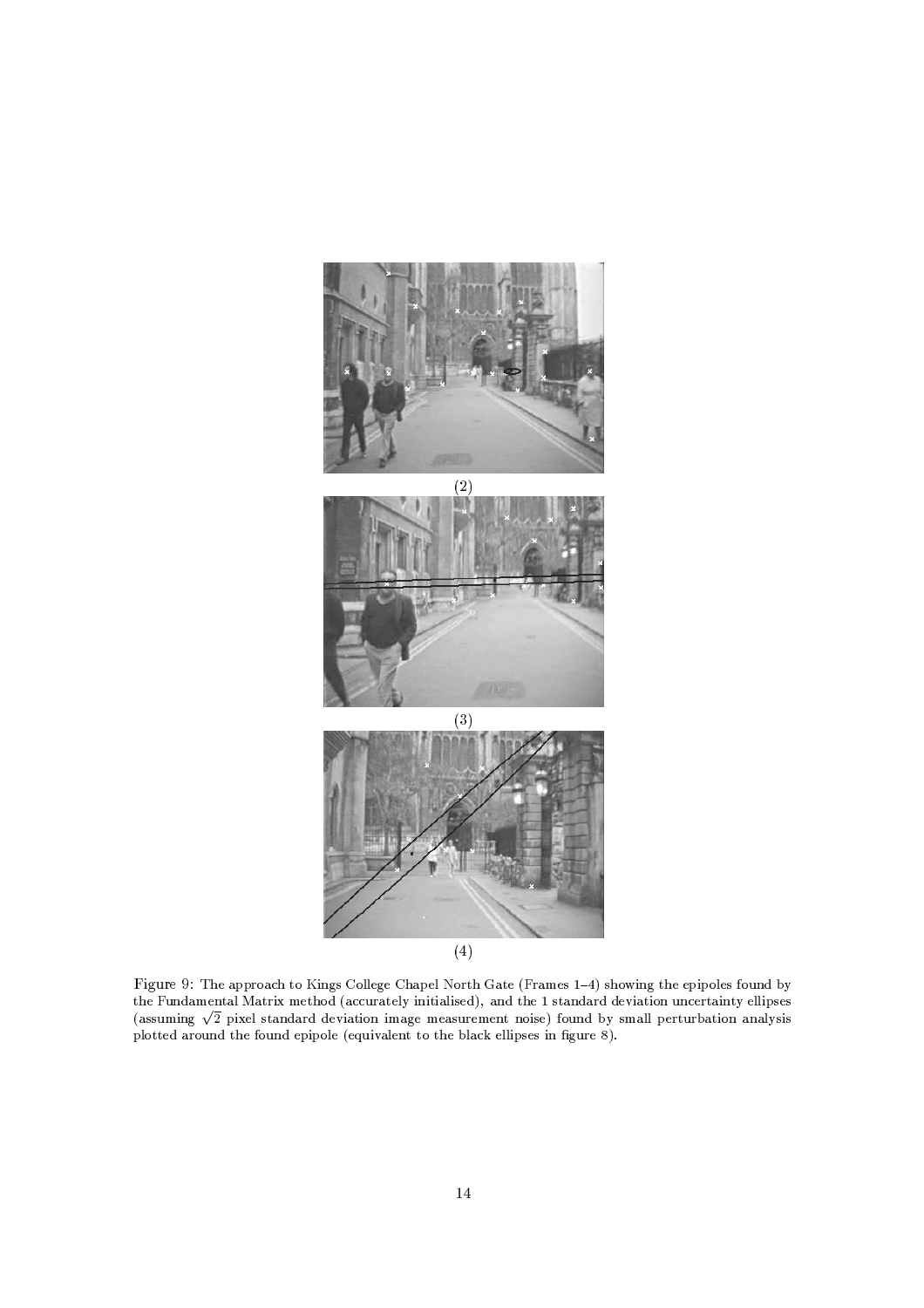





Figure 9: The approach to Kings Colloge Chapel North Cate (Frames 1, 4) showing the epipoles found by the Fundamental Matrix method (accurately initialised), and the 1 standard deviation uncertainty ellipses 6PMUGUa\<JIKDL .^4INg>W/UG@GPKDE4PH EhE'>AVMINPM@ITCKvIT<?P:L:>.<?>AP:Ua)H >A<m>K)@\$K\CI0UG> 7FnC%a'K\EÈY)reUG<?PWZWq^[>H @a'HGY\P:@ITCKwPK\PW0rUITU  $\mathcal{A}=\mathcal{A}=\mathcal{A}=\mathcal{A}=\mathcal{A}$  in the contract of the contract of the contract of the contract of the contract of the contract of the contract of the contract of the contract of the contract of the contract of the contr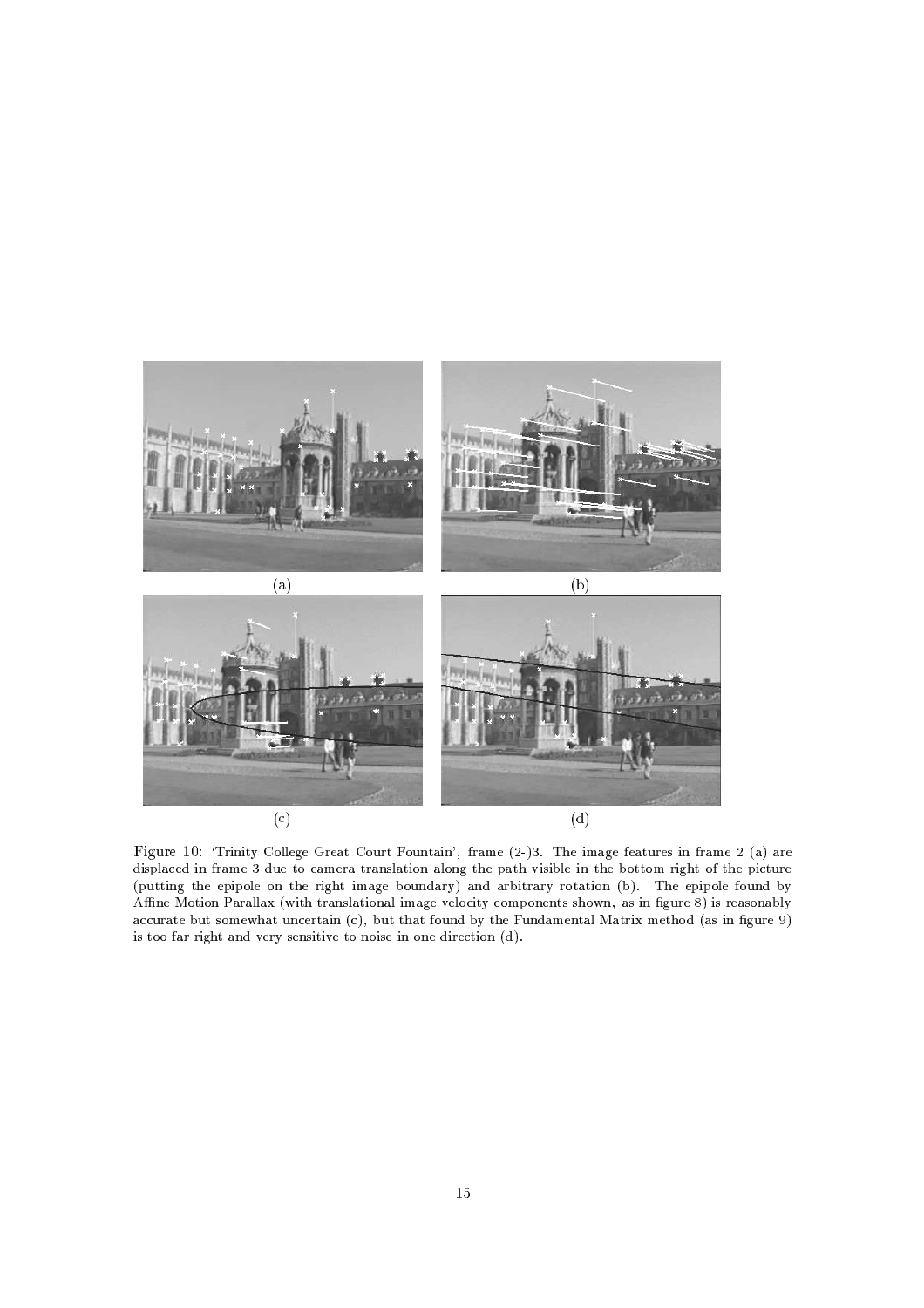



the domatic and a control to develop the control of the control of the control of the control of the control of the control of the control of the control of the control of the control of the control of the control of the c displaced in frame 3 due to camera translation along the path visible in the bottom right of the picture (putting the epipole on the right image boundary) and arbitrary rotation (b). The epipole found by  $\sim$  in the contract of the contract of the contract of the contract of the contract of the contract of the contract of the contract of the contract of the contract of the contract of the contract of the contract of the c accurate but somewhat uncertain (c), but that found by the Fundamental Matrix method (as in figure 9) is too far right and very sensitive to noise in one direction (d).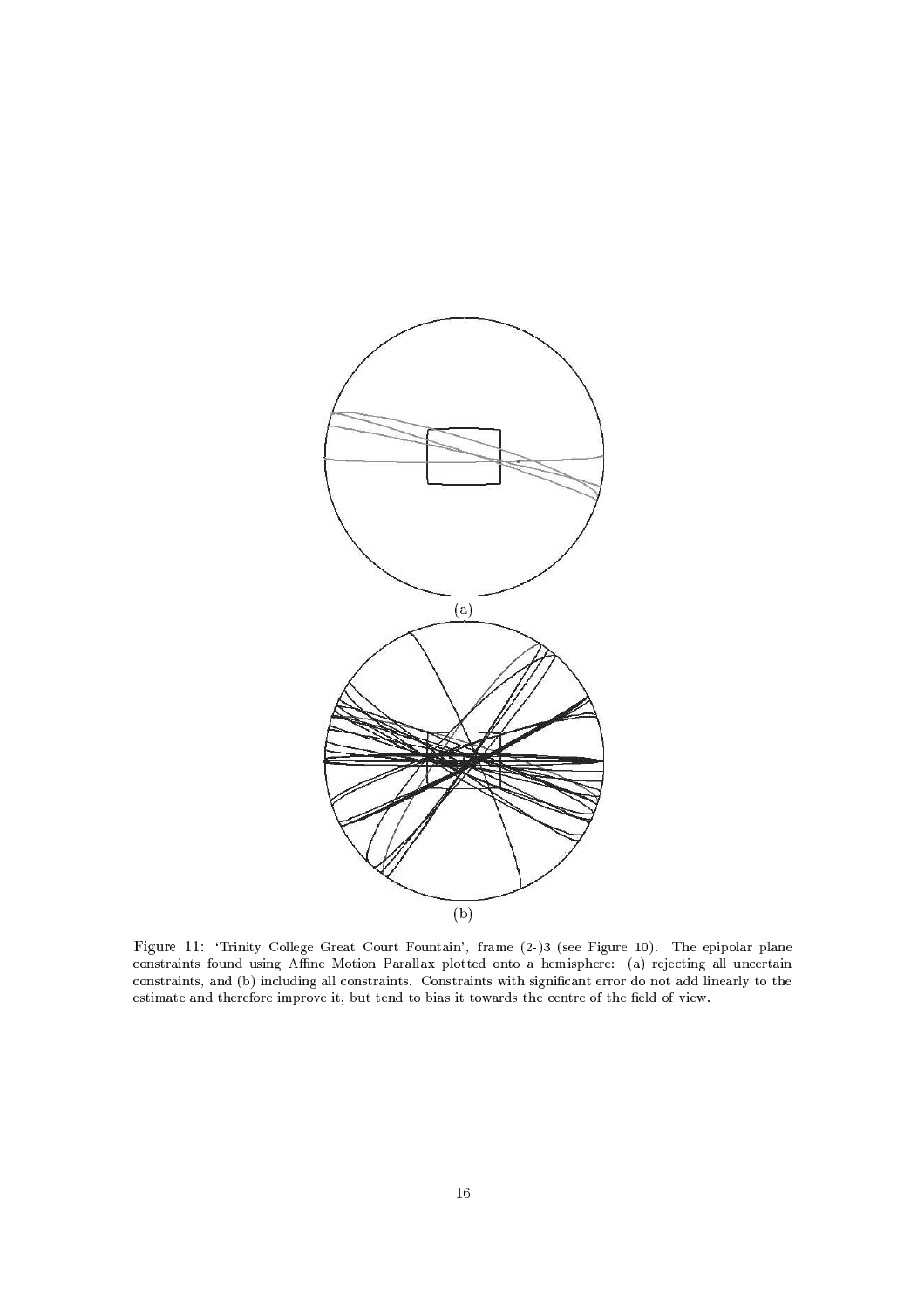

Figure 11: 'Trinity College Great Court Fountain', frame (2-)3 (see Figure 10). The epipolar plane constraints found using Affine Motion Parallax plotted onto a hemisphere: (a) rejecting all uncertain constraints, and (b) including all constraints. Constraints with significant error do not add linearly to the estimate and therefore improve it, but tend to bias it towards the centre of the field of view.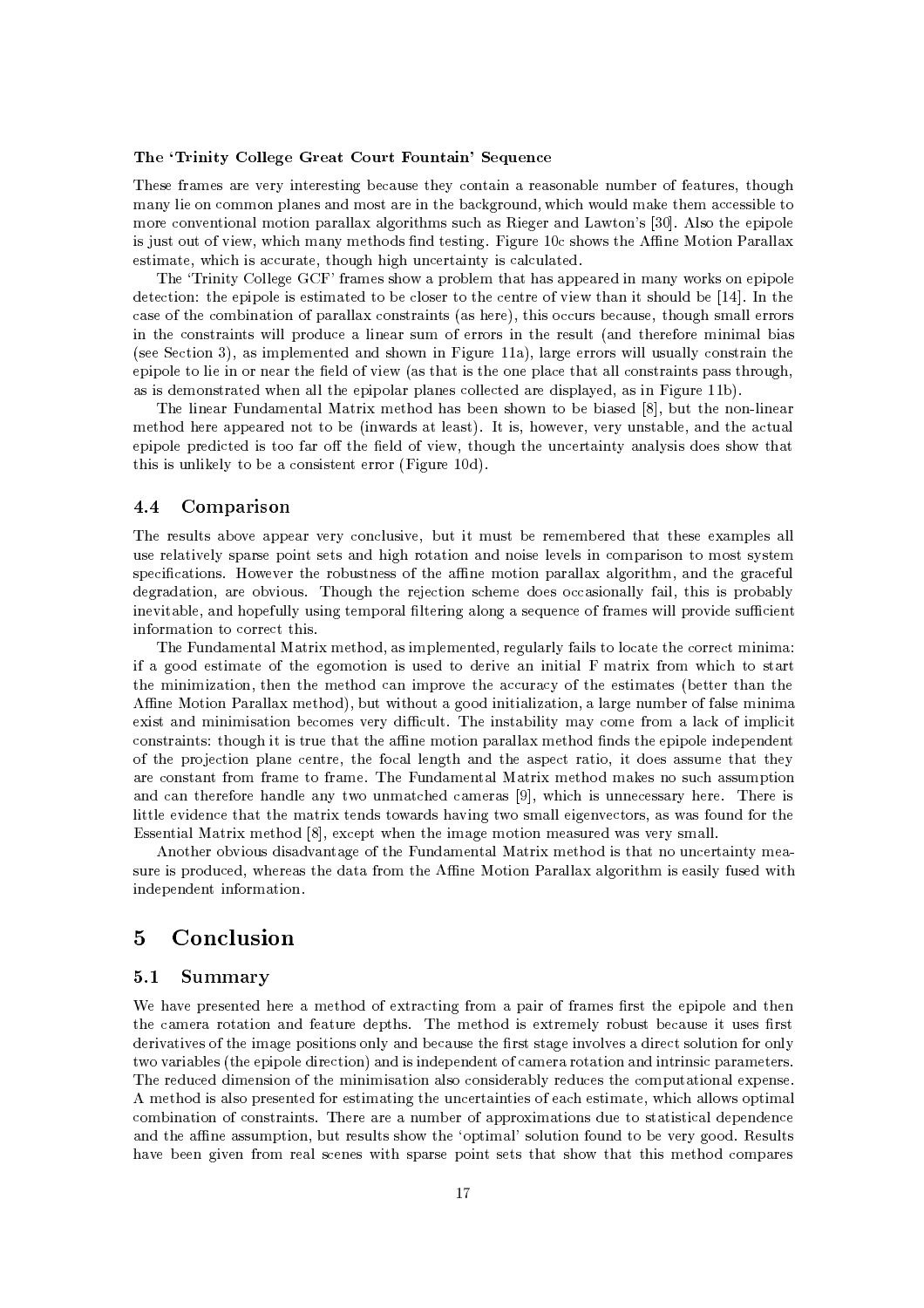### The 'Trinity College Great Court Fountain' Sequence

These frames are very interesting because they contain a reasonable number of features, though many lie on common planes and most are in the background, which would make them accessible to more conventional motion parallax algorithms such as Rieger and Lawton's [30]. Also the epipole is just out of view, which many methods find testing. Figure 10c shows the Affine Motion Parallax estimate, which is accurate, though high uncertainty is calculated.

The 'Trinity College GCF' frames show a problem that has appeared in many works on epipole detection: the epipole is estimated to be closer to the centre of view than it should be [14]. In the case of the combination of parallax constraints (as here), this occurs because, though small errors in the constraints will produce a linear sum of errors in the result (and therefore minimal bias (see Section 3), as implemented and shown in Figure 11a), large errors will usually constrain the epipole to lie in or near the field of view (as that is the one place that all constraints pass through, as is demonstrated when all the epipolar planes collected are displayed, as in Figure 11b).

The linear Fundamental Matrix method has been shown to be biased [8], but the non-linear method here appeared not to be (inwards at least). It is, however, very unstable, and the actual epipole predicted is too far off the field of view, though the uncertainty analysis does show that this is unlikely to be a consistent error (Figure 10d).

#### 4.4 Comparison

The results above appear very conclusive, but it must be remembered that these examples all use relatively sparse point sets and high rotation and noise levels in comparison to most system specifications. However the robustness of the affine motion parallax algorithm, and the graceful degradation, are obvious. Though the rejection scheme does occasionally fail, this is probably inevitable, and hopefully using temporal filtering along a sequence of frames will provide sufficient information to correct this.

The Fundamental Matrix method, as implemented, regularly fails to locate the correct minima: if a good estimate of the egomotion is used to derive an initial F matrix from which to start the minimization, then the method can improve the accuracy of the estimates (better than the Affine Motion Parallax method), but without a good initialization, a large number of false minima exist and minimisation becomes very difficult. The instability may come from a lack of implicit constraints: though it is true that the affine motion parallax method finds the epipole independent of the projection plane centre, the focal length and the aspect ratio, it does assume that they are constant from frame to frame. The Fundamental Matrix method makes no such assumption and can therefore handle any two unmatched cameras [9], which is unnecessary here. There is little evidence that the matrix tends towards having two small eigenvectors, as was found for the Essential Matrix method [8], except when the image motion measured was very small.

Another obvious disadvantage of the Fundamental Matrix method is that no uncertainty measure is produced, whereas the data from the Affine Motion Parallax algorithm is easily fused with independent information.

#### $\overline{5}$ Conclusion

#### $5.1$ **Summary**

We have presented here a method of extracting from a pair of frames first the epipole and then the camera rotation and feature depths. The method is extremely robust because it uses first derivatives of the image positions only and because the first stage involves a direct solution for only two variables (the epipole direction) and is independent of camera rotation and intrinsic parameters. The reduced dimension of the minimisation also considerably reduces the computational expense. A method is also presented for estimating the uncertainties of each estimate, which allows optimal combination of constraints. There are a number of approximations due to statistical dependence and the affine assumption, but results show the 'optimal' solution found to be very good. Results have been given from real scenes with sparse point sets that show that this method compares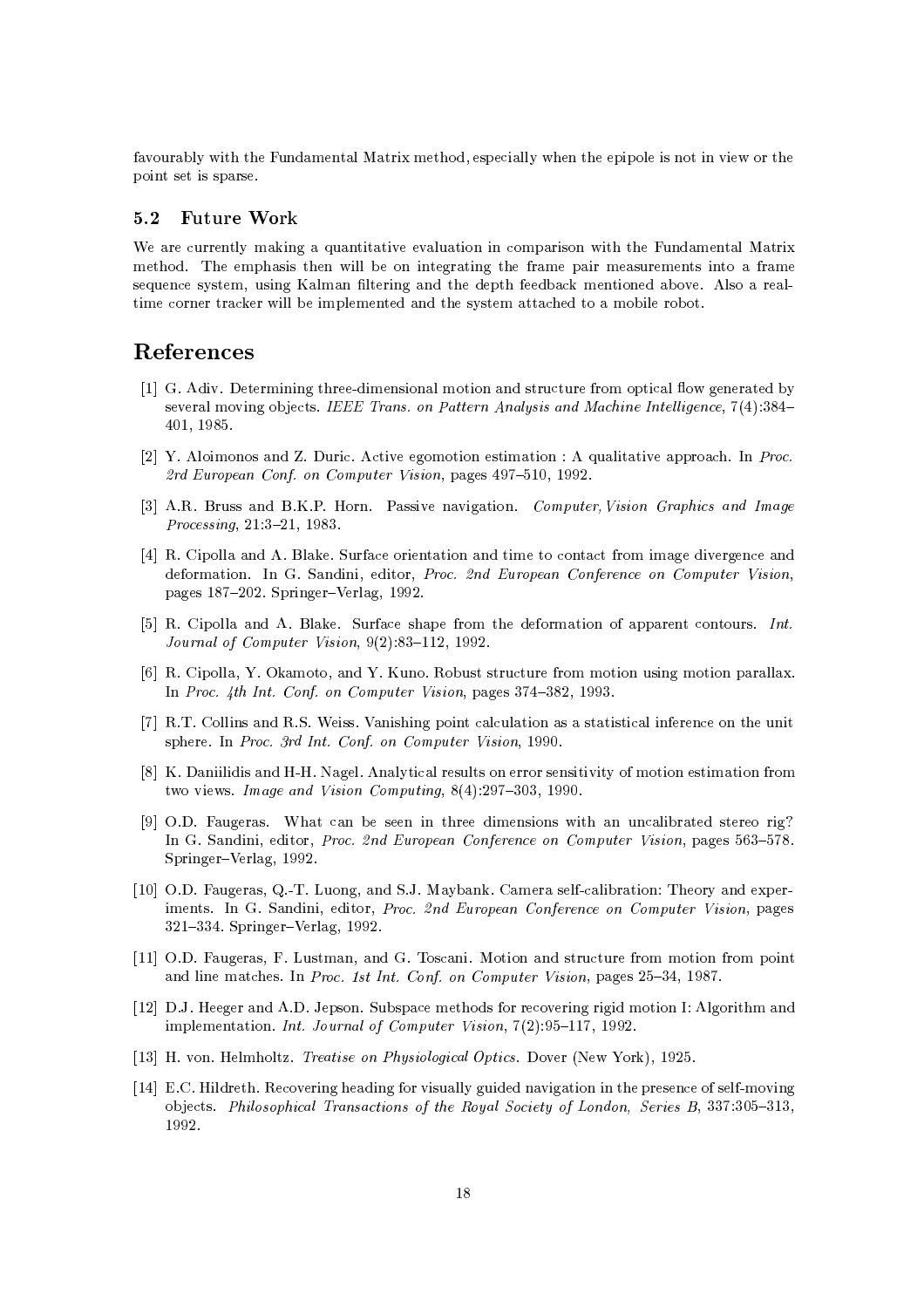9Z6--)\&%+w"< b 0)H!\* &  "TwH!> \* ,\5 \$ <sup>2</sup> "'&%&%+D 4b >\$"%\$-&%"<5;-A"%b6\*"% -A \$-"%(5>I"%55\$5

### 5.2 Future Work  $\,$

b 2) ( &<+H8\_\*"%Lh\*)( "<\ "<6-O6&%) "< "% <sup>2</sup> -H!\$"%5 - "< 0)H>( &# "T $\mathbf{1}$  . The position of the state  $\mathbf{1}$  ,  $\mathbf{1}$  ,  $\mathbf{1}$  ,  $\mathbf{1}$  ,  $\mathbf{1}$  ,  $\mathbf{1}$ 5\*)><sup>2</sup> b5+\*5 H^,;)5 "%L &%H7s&% "%L^4 b\$ 9N2\_ H!\*"%-> :6- 1&%5^8/& "%H! 2- \2\_->I"%&%& "%H!\$4&<>H!\*8 =5+\*5 H \2 7 wH!"%&% -

# References

- radio and the state of the state of the state of the state of the state of the state of the state of the state  $\alpha_{\text{sum}}$   $\alpha_{\text{max}}$   $\alpha_{\text{max}}$   $\alpha_{\text{max}}$   $\alpha_{\text{max}}$   $\alpha_{\text{max}}$   $\alpha_{\text{max}}$   $\alpha_{\text{max}}$   $\alpha_{\text{max}}$   $\alpha_{\text{max}}$   $\alpha_{\text{max}}$ 0)-, -/.'
- $\begin{bmatrix} 0 & V & A \end{bmatrix}$  between  $\begin{bmatrix} \mathcal{A} & \mathcal{A} \end{bmatrix}$  and  $\begin{bmatrix} \mathcal{A} & \mathcal{A} \end{bmatrix}$  and  $\begin{bmatrix} \mathcal{A} & \mathcal{A} \end{bmatrix}$  and  $\begin{bmatrix} \mathcal{A} & \mathcal{A} \end{bmatrix}$  and  $\begin{bmatrix} \mathcal{A} & \mathcal{A} \end{bmatrix}$  and  $\begin{bmatrix} \mathcal{A} & \mathcal{A} \end{bmatrix}$  $\mathbb{R}$ <sup>d</sup> European Carl en Computer Vision pouse  $107.510$  1009
- : <sup>1</sup> ET
#UJ )557 <sup>U</sup> b
EWQ
2@ WK5 5"%6-6("%L\*"% \_¤4¥
ª¯D¦¢:q§0¬§6¤4¨R±ª]«-§¬ <sup>±</sup> ¨ © ¥±£4¢  $D_{\text{measured}} \approx 91.9, 91, 1009$
- 0DT
 #"%\$-&%&'O <sup>1</sup> UJ&'\_-- R\*)Z9Z<sup>2</sup> "%(\ "<7 "<HS 2(\2 J9oH "<H8L "%6- L-<sup>2</sup> 4  $\det$ \$L5 -:4: V4V
R\*\$4"%L->k \*Bf>&'L,-/.-.V
- :DT
J #"<\$&%& <sup>1</sup> fU#&'\_-- <sup>R</sup> )N9Z<sup>2</sup> 75 \$ 9o -H 79N-H8 "< :9D\$\$\* 2()5 ¨]¦ $\overline{I}$   $\overline{I}$   $\overline{I}$   $\overline{I}$   $\overline{I}$   $\overline{I}$   $\overline{I}$   $\overline{I}$   $\overline{I}$   $\overline{I}$   $\overline{I}$   $\overline{I}$   $\overline{I}$   $\overline{I}$   $\overline{I}$   $\overline{I}$   $\overline{I}$   $\overline{I}$   $\overline{I}$   $\overline{I}$   $\overline{I}$   $\overline{I}$   $\overline{I}$   $\overline{I}$   $\overline{$
- :DT
4 #"%\$-&%&',-b
-G\_H!-,:4-b )4
\*-)45#5 )<sup>2</sup> )49o -H H!"%-S)45"%LwHS- "<S\$ &<&'  $\frac{1}{4}$  ,  $\frac{1}{4}$  ,  $\frac{1}{4}$  ,  $\frac{1}{4}$  ,  $\frac{1}{4}$  ,  $\frac{1}{4}$  ,  $\frac{1}{4}$  ,  $\frac{1}{4}$  ,  $\frac{1}{4}$  ,  $\frac{1}{4}$  ,  $\frac{1}{4}$  ,  $\frac{1}{4}$  ,  $\frac{1}{4}$  ,  $\frac{1}{4}$  ,  $\frac{1}{4}$  ,  $\frac{1}{4}$  ,  $\frac{1}{4}$  ,  $\frac{1}{4}$  ,  $\frac{1$
- ل: القاطر المالية التي تقدم المعاملة المعاملة المعاملة المعاملة المعاملة المعاملة المعاملة المعاملة المعاملة  $\frac{1}{2}$   $\frac{1}{2}$   $\frac{1}{2}$   $\frac{1}{2}$   $\frac{1}{2}$   $\frac{1}{2}$   $\frac{1}{2}$   $\frac{1}{2}$   $\frac{1}{2}$   $\frac{1}{2}$   $\frac{1}{2}$   $\frac{1}{2}$   $\frac{1}{2}$   $\frac{1}{2}$   $\frac{1}{2}$   $\frac{1}{2}$   $\frac{1}{2}$   $\frac{1}{2}$   $\frac{1}{2}$   $\frac{1}{2}$   $\frac{1}{2}$   $\frac{1}{2}$
- :O
F"%"%&<"%"%5AO#D =L&Z 1&%+\*" <sup>2</sup> & 5)&% 5K-w -K5>5"%"%6\*"%N+ :9 H!"%-w5 "%H7"%-T9o -H $\mu$   $\mu$   $\tau$   $\mu$   $\alpha$   $\mu$   $\alpha$ ( $\mu$ ) $\alpha$ o $\tau$   $\alpha$ 00  $\tau$
- .:D
EFw 0)L 5/ <sup>2</sup> { 5{"%{ "%H!45"%-58"% n)4<sup>2</sup> &%"%\>n5 "%L  $\Gamma_{\rm B}$  Condition  $D_{\rm B}$   $\rho_{\rm B}$   $J_{\rm E}$   $E_{\rm F}$  conformed on Computer Vision pages  $569$   $579$ R\*\$"%Lk Bf&'L, -/..-V4
- tion in the state of the state of the state of the state of the state of the state of the state of the state o  $\frac{1}{2}$   $\frac{1}{2}$   $\frac{1}{2}$   $\frac{1}{2}$   $\frac{1}{2}$   $\frac{1}{2}$   $\frac{1}{2}$   $\frac{1}{2}$   $\frac{1}{2}$   $\frac{1}{2}$   $\frac{1}{2}$   $\frac{1}{2}$   $\frac{1}{2}$   $\frac{1}{2}$   $\frac{1}{2}$   $\frac{1}{2}$   $\frac{1}{2}$   $\frac{1}{2}$   $\frac{1}{2}$   $\frac{1}{2}$   $\frac{1}{2}$   $\frac{1}{2}$  -V-A ]'0
R \$"%Lk Bf&'L,-/..-V
- %---,D
EFw 0)L 5/, 0# )5 H7, b
PQ-5 <sup>2</sup> 4"N
;8- "%- 5 )<sup>2</sup> ) =9oH H!- "%-89oH \$-"%(and line matches. In Dress, Let Lut, Canf. an Computer Vision, pages 95, 94, 1097
- %-/VMDFD 4@>L-J4 <sup>1</sup> Fw
-\$5 R\*)45\$<sup>2</sup> IHS 4\*5Q9o-A 26-"%LT"%L"<bH!"%-jY 1&<L- "< H  $\mathcal{L} = \mathcal{L} = \mathcal{L} = \mathcal{L} = \mathcal{L} = \mathcal{L} = \mathcal{L} = \mathcal{L} = \mathcal{L} = \mathcal{L} = \mathcal{L} = \mathcal{L} = \mathcal{L} = \mathcal{L} = \mathcal{L} = \mathcal{L} = \mathcal{L} = \mathcal{L} = \mathcal{L} = \mathcal{L} = \mathcal{L} = \mathcal{L} = \mathcal{L} = \mathcal{L} = \mathcal{L} = \mathcal{L} = \mathcal{L} = \mathcal{L} = \mathcal{L} = \mathcal{L} = \mathcal{L} = \mathcal$
- $[19]$  II rep. Helpekeltz, Treaties on Dhusiological Optics, Doron (New York),  $[1095]$
- %-0 D?
E =
:@"%&% 26-"%LG /"%L9o- 6\*"%5)&<&%+=L)"% /6\*"%L("%- "%T A\$45 <sup>2</sup> ;:9 5&9H!6\*"%L -[\ <sup>2</sup> 5/ ,'4Y'M --:, \_«-§ ²¤¬¤,ª]«-§±² ± ¨D¬ <sup>±</sup> :¦§6¤4¨D¬È¤ ¦0«]¢\*)
¤ ±²
+¤:§6¢:¦ ¤,¤4¨ © ¤4¨ +¢M§6¢¬-  $\cdots$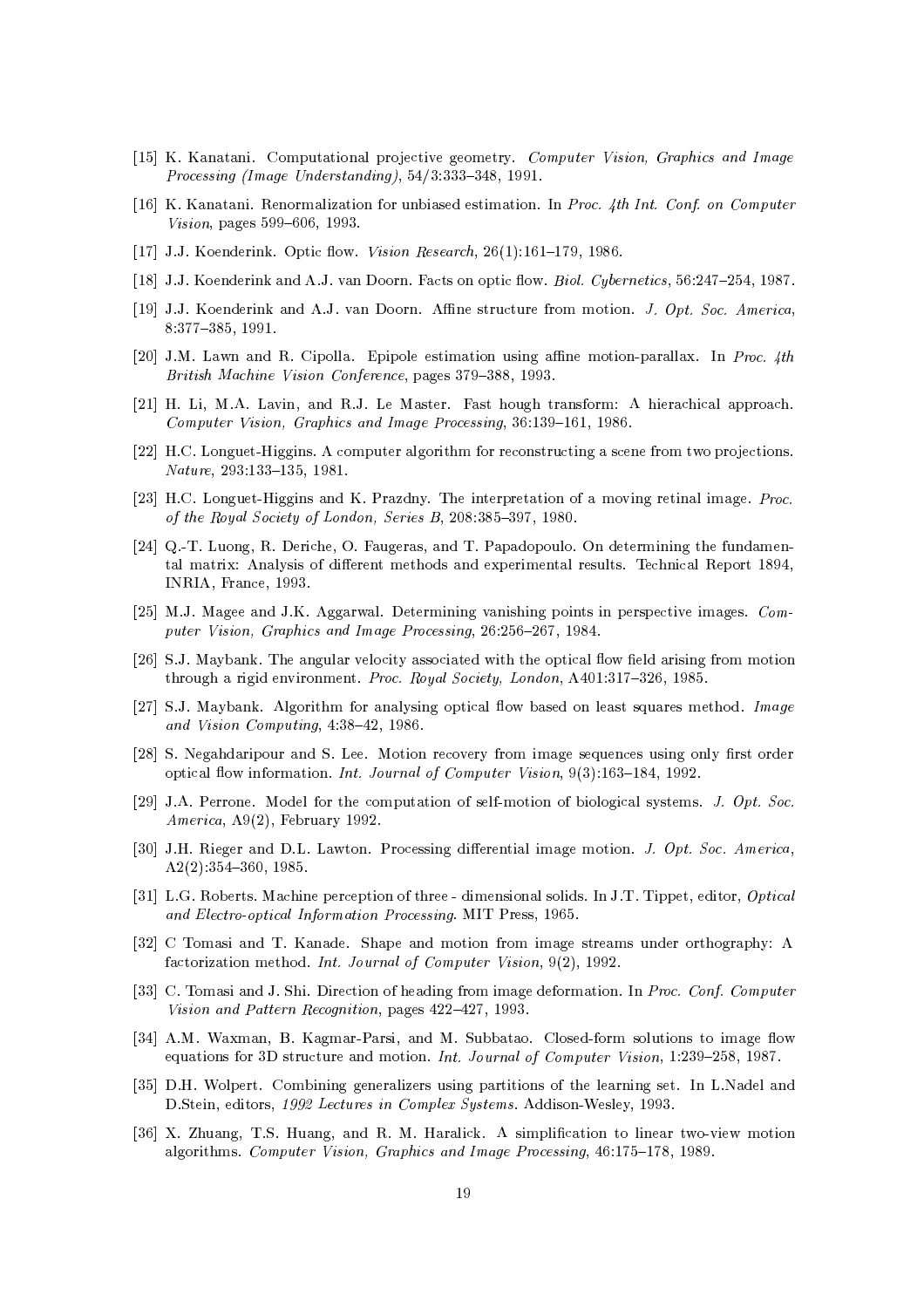- [15] K. Kanatani. Computational projective geometry. Computer Vision, Graphics and Image Processing (Image Understanding), 54/3:333-348, 1991.
- [16] K. Kanatani. Renormalization for unbiased estimation. In Proc. 4th Int. Conf. on Computer Vision, pages 599-606, 1993.
- [17] J.J. Koenderink. Optic flow. Vision Research,  $26(1):161-179$ , 1986.
- [18] J.J. Koenderink and A.J. van Doorn. Facts on optic flow. Biol. Cybernetics, 56:247-254, 1987.
- [19] J.J. Koenderink and A.J. van Doorn. Affine structure from motion. J. Opt. Soc. America,  $8:377-385,1991.$
- [20] J.M. Lawn and R. Cipolla. Epipole estimation using affine motion-parallax. In Proc. 4th British Machine Vision Conference, pages 379-388, 1993.
- [21] H. Li, M.A. Lavin, and R.J. Le Master. Fast hough transform: A hierachical approach. Computer Vision, Graphics and Image Processing, 36:139-161, 1986.
- [22] H.C. Longuet-Higgins. A computer algorithm for reconstructing a scene from two projections.  $Nature$ , 293:133-135, 1981.
- [23] H.C. Longuet-Higgins and K. Prazdny. The interpretation of a moving retinal image. Proc. of the Royal Society of London, Series B, 208:385-397, 1980.
- [24] Q.-T. Luong, R. Deriche, O. Faugeras, and T. Papadopoulo. On determining the fundamental matrix: Analysis of different methods and experimental results. Technical Report 1894, INRIA, France, 1993.
- [25] M.J. Magee and J.K. Aggarwal. Determining vanishing points in perspective images. Computer Vision, Graphics and Image Processing, 26:256-267, 1984.
- [26] S.J. Maybank. The angular velocity associated with the optical flow field arising from motion through a rigid environment. Proc. Royal Society, London, A401:317-326, 1985.
- [27] S.J. Maybank. Algorithm for analysing optical flow based on least squares method. Image and Vision Computing, 4:38-42, 1986.
- [28] S. Negahdaripour and S. Lee. Motion recovery from image sequences using only first order optical flow information. Int. Journal of Computer Vision, 9(3):163-184, 1992.
- [29] J.A. Perrone. Model for the computation of self-motion of biological systems. J. Opt. Soc.  $American, A9(2), February 1992.$
- [30] J.H. Rieger and D.L. Lawton. Processing differential image motion. J. Opt. Soc. America,  $A2(2):354-360, 1985.$
- [31] L.G. Roberts. Machine perception of three dimensional solids. In J.T. Tippet, editor, Optical and Electro-optical Information Processing. MIT Press, 1965.
- [32] C Tomasi and T. Kanade. Shape and motion from image streams under orthography: A factorization method. Int. Journal of Computer Vision, 9(2), 1992.
- [33] C. Tomasi and J. Shi. Direction of heading from image deformation. In Proc. Conf. Computer Vision and Pattern Recognition, pages 422-427, 1993.
- [34] A.M. Waxman, B. Kagmar-Parsi, and M. Subbatao. Closed-form solutions to image flow equations for 3D structure and motion. Int. Journal of Computer Vision, 1:239-258, 1987.
- [35] D.H. Wolpert. Combining generalizers using partitions of the learning set. In L.Nadel and D.Stein, editors, 1992 Lectures in Complex Systems. Addison-Wesley, 1993.
- [36] X. Zhuang, T.S. Huang, and R. M. Haralick. A simplification to linear two-view motion algorithms. Computer Vision, Graphics and Image Processing, 46:175-178, 1989.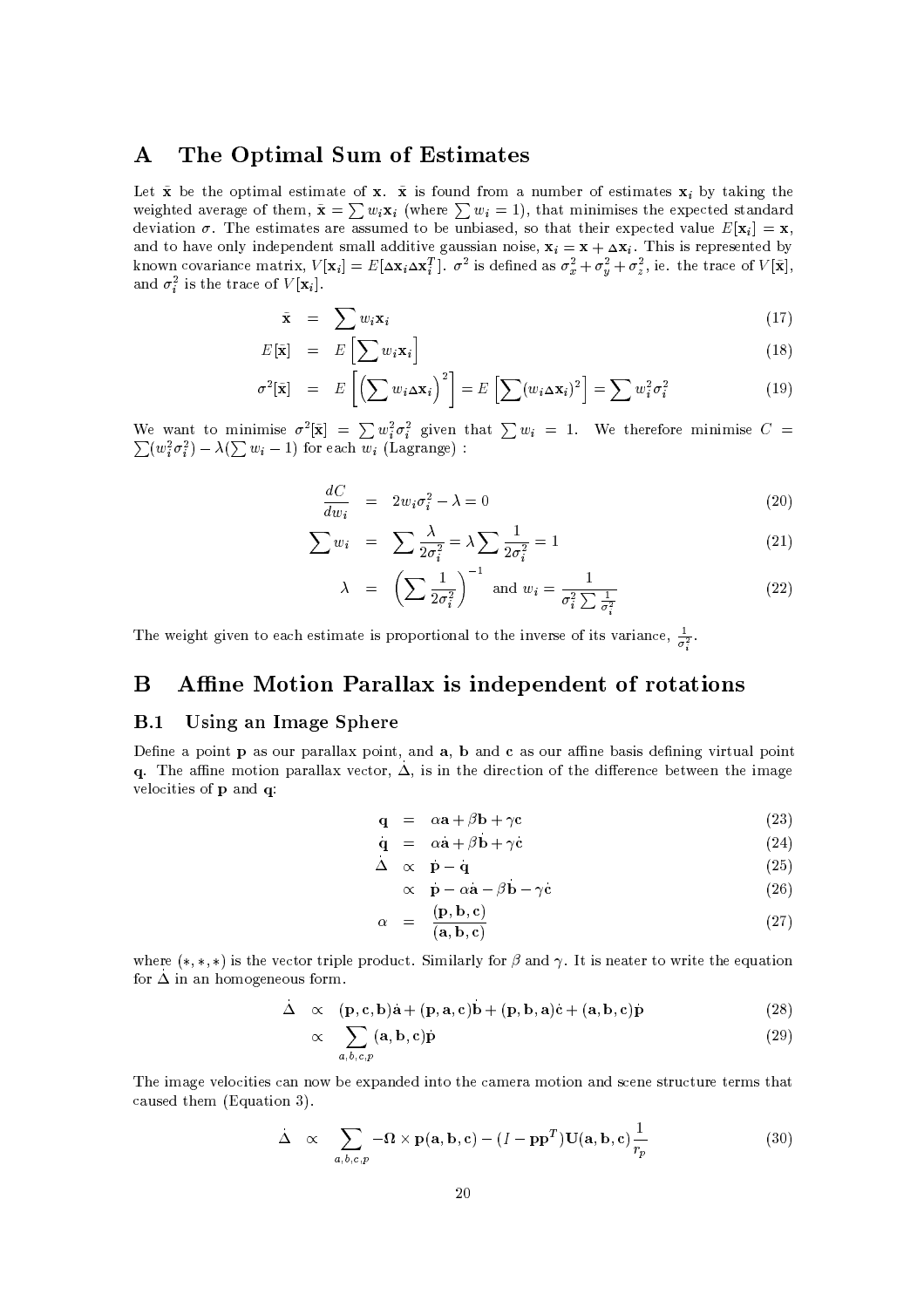#### $\mathbf{A}$ The Optimal Sum of Estimates

Let  $\tilde{\mathbf{x}}$  be the optimal estimate of  $\mathbf{x}$ .  $\tilde{\mathbf{x}}$  is found from a number of estimates  $\mathbf{x}_i$  by taking the weighted average of them,  $\tilde{\mathbf{x}} = \sum w_i \mathbf{x}_i$  (where  $\sum w_i = 1$ ), that minimises the expected standard deviation  $\sigma$ . The estimates are assumed to be unbiased, so that their expected value  $E[\mathbf{x}_i] = \mathbf{x}$ , and to have only independent small additive gaussian noise,  $\mathbf{x}_i = \mathbf{x} + \Delta \mathbf{x}_i$ . This is represented by known covariance matrix,  $V[\mathbf{x}_i] = E[\Delta \mathbf{x}_i \Delta \mathbf{x}_i^T]$ .  $\sigma^2$  is defined as  $\sigma_x^2 + \sigma_y^2 + \sigma_z^2$ , ie. the trace and  $\sigma_i^2$  is the trace of  $V[\mathbf{x}_i]$ .

$$
\tilde{\mathbf{x}} = \sum w_i \mathbf{x}_i \tag{17}
$$

$$
E[\tilde{\mathbf{x}}] = E\left[\sum w_i \mathbf{x}_i\right]
$$
 (18)

$$
\sigma^2[\tilde{\mathbf{x}}] = E\left[\left(\sum w_i \Delta \mathbf{x}_i\right)^2\right] = E\left[\sum (w_i \Delta \mathbf{x}_i)^2\right] = \sum w_i^2 \sigma_i^2 \tag{19}
$$

We want to minimise  $\sigma^2[\tilde{\mathbf{x}}] = \sum w_i^2 \sigma_i^2$  given that  $\sum w_i = 1$ . We therefore minimise  $C =$  $\sum (w_i^2 \sigma_i^2) - \lambda (\sum w_i - 1)$  for each  $w_i$  (Lagrange):

$$
\frac{dC}{dw_i} = 2w_i\sigma_i^2 - \lambda = 0 \tag{20}
$$

$$
\sum w_i = \sum \frac{\lambda}{2\sigma_i^2} = \lambda \sum \frac{1}{2\sigma_i^2} = 1
$$
\n(21)

$$
\lambda = \left(\sum \frac{1}{2\sigma_i^2}\right)^{-1} \text{ and } w_i = \frac{1}{\sigma_i^2 \sum \frac{1}{\sigma_i^2}} \tag{22}
$$

The weight given to each estimate is proportional to the inverse of its variance,  $\frac{1}{\sigma^2}$ .

#### Affine Motion Parallax is independent of rotations B

#### $B.1$ Using an Image Sphere

Define a point p as our parallax point, and a, b and c as our affine basis defining virtual point q. The affine motion parallax vector,  $\Delta$ , is in the direction of the difference between the image velocities of p and q:

$$
\mathbf{q} = \alpha \mathbf{a} + \beta \mathbf{b} + \gamma \mathbf{c} \tag{23}
$$

$$
\mathbf{q} = \alpha \mathbf{a} + \beta \mathbf{b} + \gamma \mathbf{c} \tag{24}
$$

$$
\begin{array}{ccc}\n\Delta & \propto & \dot{\mathbf{p}} - \dot{\mathbf{q}} \\
\propto & \mathbf{p} - \alpha \mathbf{a} - \beta \mathbf{b} - \gamma \mathbf{c}\n\end{array} \tag{25}
$$

$$
\alpha \quad \mathbf{p} - \alpha \mathbf{a} - \beta \mathbf{b} - \gamma \mathbf{c} \tag{26}
$$

$$
\alpha = \frac{(\mathbf{p}, \mathbf{b}, \mathbf{c})}{(\mathbf{a}, \mathbf{b}, \mathbf{c})} \tag{27}
$$

where  $(*,*,*)$  is the vector triple product. Similarly for  $\beta$  and  $\gamma$ . It is neater to write the equation for  $\Delta$  in an homogeneous form.

$$
\Delta \propto (\mathbf{p}, \mathbf{c}, \mathbf{b})\mathbf{a} + (\mathbf{p}, \mathbf{a}, \mathbf{c})\mathbf{b} + (\mathbf{p}, \mathbf{b}, \mathbf{a})\mathbf{c} + (\mathbf{a}, \mathbf{b}, \mathbf{c})\mathbf{p}
$$
(28)

$$
\propto \sum_{a,b,c,p} (\mathbf{a}, \mathbf{b}, \mathbf{c}) \dot{\mathbf{p}} \tag{29}
$$

The image velocities can now be expanded into the camera motion and scene structure terms that caused them (Equation 3).

$$
\dot{\Delta} \propto \sum_{a,b,c,p} -\Omega \times \mathbf{p}(\mathbf{a}, \mathbf{b}, \mathbf{c}) - (I - \mathbf{p}\mathbf{p}^T) \mathbf{U}(\mathbf{a}, \mathbf{b}, \mathbf{c}) \frac{1}{r_p}
$$
(30)